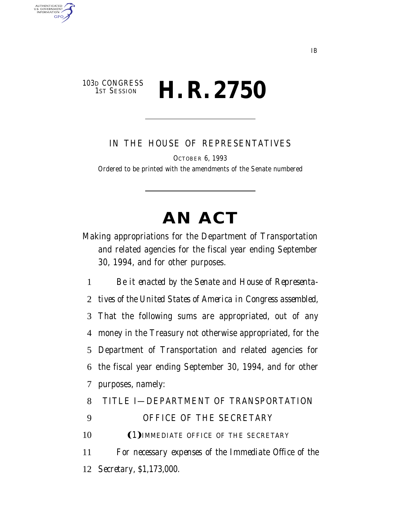# 103D CONGRESS<br>1st Session **H. R. 2750**

AUTHENTICATED<br>U.S. GOVERNMENT<br>INFORMATION **GPO** 

IN THE HOUSE OF REPRESENTATIVES

OCTOBER 6, 1993

Ordered to be printed with the amendments of the Senate numbered

# **AN ACT**

Making appropriations for the Department of Transportation and related agencies for the fiscal year ending September 30, 1994, and for other purposes.

1 *Be it enacted by the Senate and House of Representa-*

2 *tives of the United States of America in Congress assembled,*

 That the following sums are appropriated, out of any money in the Treasury not otherwise appropriated, for the Department of Transportation and related agencies for the fiscal year ending September 30, 1994, and for other purposes, namely:

8 TITLE I—DEPARTMENT OF TRANSPORTATION

9 OFFICE OF THE SECRETARY

10 (1) IMMEDIATE OFFICE OF THE SECRETARY

11 *For necessary expenses of the Immediate Office of the* 12 *Secretary, \$1,173,000.*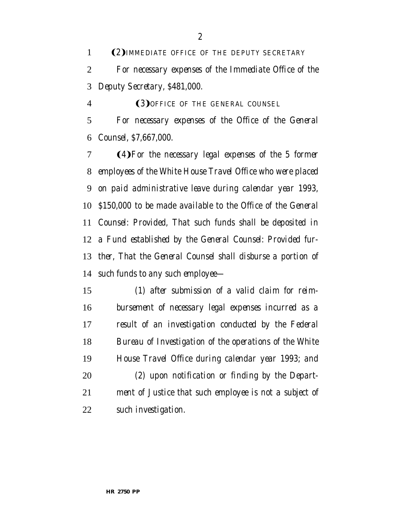**(2)** IMMEDIATE OFFICE OF THE DEPUTY SECRETARY *For necessary expenses of the Immediate Office of the Deputy Secretary, \$481,000.*

Ω3æ*OFFICE OF THE GENERAL COUNSEL*

 *For necessary expenses of the Office of the General Counsel, \$7,667,000.*

**(4)** For the necessary legal expenses of the 5 former *employees of the White House Travel Office who were placed on paid administrative leave during calendar year 1993, \$150,000 to be made available to the Office of the General Counsel: Provided, That such funds shall be deposited in a Fund established by the General Counsel: Provided fur- ther, That the General Counsel shall disburse a portion of such funds to any such employee—*

 *(1) after submission of a valid claim for reim- bursement of necessary legal expenses incurred as a result of an investigation conducted by the Federal Bureau of Investigation of the operations of the White House Travel Office during calendar year 1993; and (2) upon notification or finding by the Depart- ment of Justice that such employee is not a subject of such investigation.*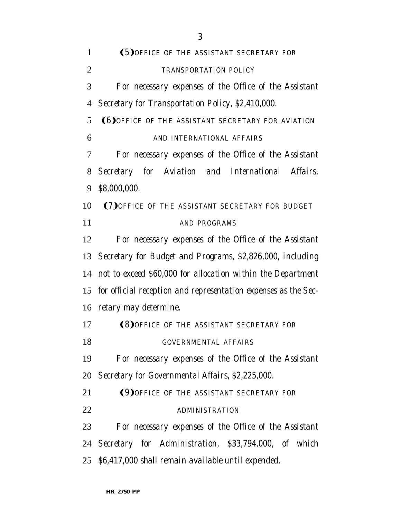| 1              | (5) OFFICE OF THE ASSISTANT SECRETARY FOR                      |
|----------------|----------------------------------------------------------------|
| 2              | TRANSPORTATION POLICY                                          |
| 3              | For necessary expenses of the Office of the Assistant          |
| $\overline{4}$ | Secretary for Transportation Policy, \$2,410,000.              |
| 5              | <b>(6) OFFICE OF THE ASSISTANT SECRETARY FOR AVIATION</b>      |
| 6              | AND INTERNATIONAL AFFAIRS                                      |
| 7              | For necessary expenses of the Office of the Assistant          |
| 8              | Secretary for Aviation and International Affairs,              |
| 9              | \$8,000,000.                                                   |
| 10             | (7) OFFICE OF THE ASSISTANT SECRETARY FOR BUDGET               |
| 11             | AND PROGRAMS                                                   |
| 12             | For necessary expenses of the Office of the Assistant          |
|                | 13 Secretary for Budget and Programs, \$2,826,000, including   |
| 14             | not to exceed \$60,000 for allocation within the Department    |
| 15             | for official reception and representation expenses as the Sec- |
| 16             | retary may determine.                                          |
| 17             | <b>(8) OFFICE OF THE ASSISTANT SECRETARY FOR</b>               |
| 18             | GOVERNMENTAL AFFAIRS                                           |
| 19             | For necessary expenses of the Office of the Assistant          |
|                | 20 Secretary for Governmental Affairs, \$2,225,000.            |
| 21             | (9) OFFICE OF THE ASSISTANT SECRETARY FOR                      |
| 22             | <b>ADMINISTRATION</b>                                          |
| 23             | For necessary expenses of the Office of the Assistant          |
|                | 24 Secretary for Administration, \$33,794,000, of which        |
|                | 25 \$6,417,000 shall remain available until expended.          |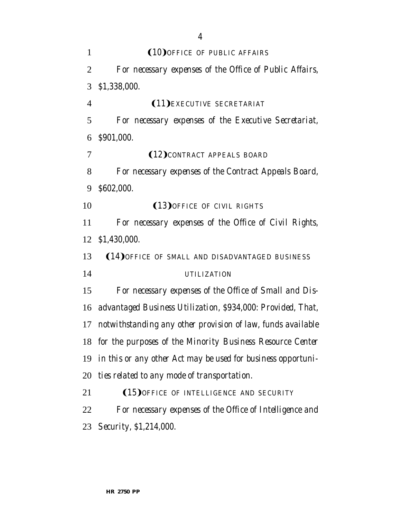| 1              | (10) OFFICE OF PUBLIC AFFAIRS                                |
|----------------|--------------------------------------------------------------|
| 2              | For necessary expenses of the Office of Public Affairs,      |
| 3              | \$1,338,000.                                                 |
| $\overline{4}$ | <b>(11)</b> EXECUTIVE SECRETARIAT                            |
| 5              | For necessary expenses of the Executive Secretariat,         |
| 6              | \$901,000.                                                   |
| 7              | (12) CONTRACT APPEALS BOARD                                  |
| 8              | For necessary expenses of the Contract Appeals Board,        |
| 9              | \$602,000.                                                   |
| 10             | (13) OFFICE OF CIVIL RIGHTS                                  |
| 11             | For necessary expenses of the Office of Civil Rights,        |
| 12             | \$1,430,000.                                                 |
| 13             | (14) OFFICE OF SMALL AND DISADVANTAGED BUSINESS              |
| 14             | UTILIZATION                                                  |
| 15             | For necessary expenses of the Office of Small and Dis-       |
| 16             | advantaged Business Utilization, \$934,000: Provided, That,  |
| 17             | notwithstanding any other provision of law, funds available  |
| 18             | for the purposes of the Minority Business Resource Center    |
| 19             | in this or any other Act may be used for business opportuni- |
| 20             | ties related to any mode of transportation.                  |
| 21             | (15) OFFICE OF INTELLIGENCE AND SECURITY                     |
| <u>22</u>      | For necessary expenses of the Office of Intelligence and     |
| 23             | Security, \$1,214,000.                                       |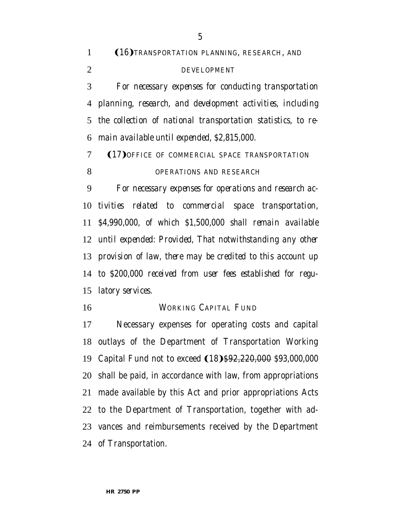|                | (16) TRANSPORTATION PLANNING, RESEARCH, AND<br>$1 \quad \blacksquare$ |
|----------------|-----------------------------------------------------------------------|
| $\overline{2}$ | DEVELOPMENT                                                           |
|                | 3 For necessary expenses for conducting transportation                |
|                | 4 planning, research, and development activities, including           |

 *the collection of national transportation statistics, to re-main available until expended, \$2,815,000.*

7 (17) OFFICE OF COMMERCIAL SPACE TRANSPORTATION *OPERATIONS AND RESEARCH*

 *For necessary expenses for operations and research ac- tivities related to commercial space transportation, \$4,990,000, of which \$1,500,000 shall remain available until expended: Provided, That notwithstanding any other provision of law, there may be credited to this account up to \$200,000 received from user fees established for regu-latory services.*

#### WORKING CAPITAL FUND

 Necessary expenses for operating costs and capital outlays of the Department of Transportation Working 19 Capital Fund not to exceed (18)\$92,220,000 *\$93,000,000*  shall be paid, in accordance with law, from appropriations made available by this Act and prior appropriations Acts to the Department of Transportation, together with ad- vances and reimbursements received by the Department of Transportation.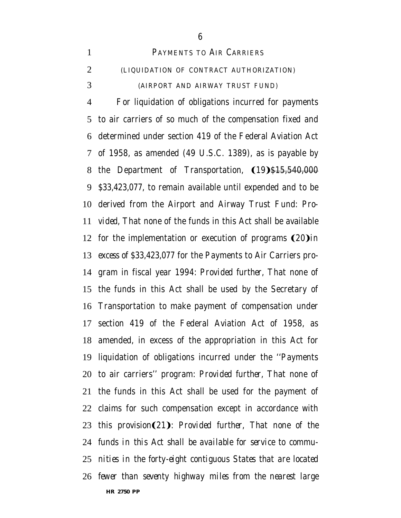PAYMENTS TO AIR CARRIERS (LIQUIDATION OF CONTRACT AUTHORIZATION) (AIRPORT AND AIRWAY TRUST FUND)

**HR 2750 PP** For liquidation of obligations incurred for payments to air carriers of so much of the compensation fixed and determined under section 419 of the Federal Aviation Act of 1958, as amended (49 U.S.C. 1389), as is payable by 8 the Department of Transportation, (19)\$15,540,000 *\$33,423,077*, to remain available until expended and to be derived from the Airport and Airway Trust Fund: *Pro- vided,* That none of the funds in this Act shall be available 12 for the implementation or execution of programs  $(20)$ *in excess of \$33,423,077* for the Payments to Air Carriers pro- gram in fiscal year 1994: *Provided further,* That none of the funds in this Act shall be used by the Secretary of Transportation to make payment of compensation under section 419 of the Federal Aviation Act of 1958, as amended, in excess of the appropriation in this Act for liquidation of obligations incurred under the ''Payments to air carriers'' program: *Provided further,* That none of the funds in this Act shall be used for the payment of claims for such compensation except in accordance with 23 this provision(21): Provided further, That none of the *funds in this Act shall be available for service to commu- nities in the forty-eight contiguous States that are located fewer than seventy highway miles from the nearest large*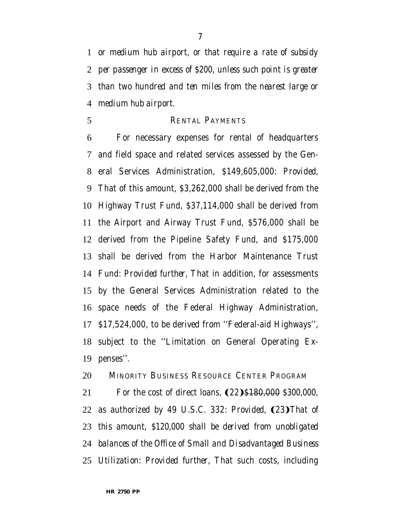*or medium hub airport, or that require a rate of subsidy per passenger in excess of \$200, unless such point is greater than two hundred and ten miles from the nearest large or medium hub airport.*

RENTAL PAYMENTS

 For necessary expenses for rental of headquarters and field space and related services assessed by the Gen- eral Services Administration, \$149,605,000: *Provided,* That of this amount, \$3,262,000 shall be derived from the Highway Trust Fund, \$37,114,000 shall be derived from the Airport and Airway Trust Fund, \$576,000 shall be derived from the Pipeline Safety Fund, and \$175,000 shall be derived from the Harbor Maintenance Trust Fund: *Provided further,* That in addition, for assessments by the General Services Administration related to the space needs of the Federal Highway Administration, \$17,524,000, to be derived from ''Federal-aid Highways'', subject to the ''Limitation on General Operating Ex-penses''.

MINORITY BUSINESS RESOURCE CENTER PROGRAM

21 For the cost of direct loans,  $(22)$ \$180,000 *\$300,000*, 22 as authorized by 49 U.S.C. 332: *Provided*, (23) That of *this amount, \$120,000 shall be derived from unobligated balances of the Office of Small and Disadvantaged Business Utilization: Provided further,* That such costs, including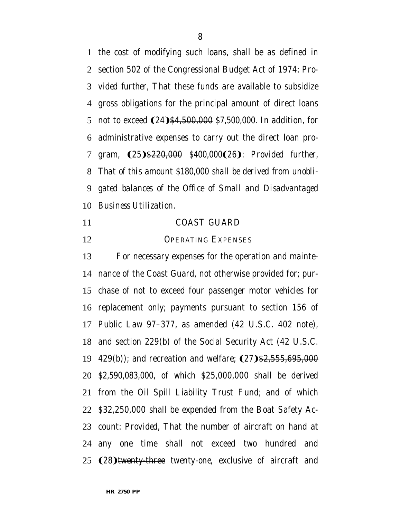the cost of modifying such loans, shall be as defined in section 502 of the Congressional Budget Act of 1974: *Pro- vided further,* That these funds are available to subsidize gross obligations for the principal amount of direct loans 5 not to exceed  $(24)$ \$4,500,000 \$7,500,000. In addition, for administrative expenses to carry out the direct loan pro-7 gram,  $(25)$ \$220,000 *\$400,000*(26)*: Provided further, That of this amount \$180,000 shall be derived from unobli- gated balances of the Office of Small and Disadvantaged Business Utilization*.

- COAST GUARD
- 12 OPERATING EXPENSES

# For necessary expenses for the operation and mainte- nance of the Coast Guard, not otherwise provided for; pur- chase of not to exceed four passenger motor vehicles for replacement only; payments pursuant to section 156 of Public Law 97–377, as amended (42 U.S.C. 402 note), and section 229(b) of the Social Security Act (42 U.S.C. 19 429(b)); and recreation and welfare; (27) \$2,555,695,000 *\$2,590,083,000*, of which \$25,000,000 shall be derived from the Oil Spill Liability Trust Fund; and of which \$32,250,000 shall be expended from the Boat Safety Ac- count: *Provided,* That the number of aircraft on hand at any one time shall not exceed two hundred and 25 (28) twenty-three *twenty-one*, exclusive of aircraft and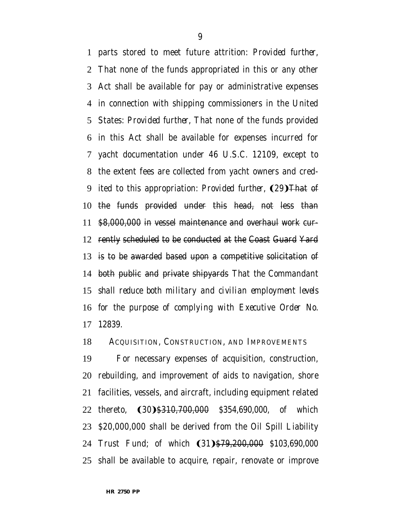parts stored to meet future attrition: *Provided further,* That none of the funds appropriated in this or any other Act shall be available for pay or administrative expenses in connection with shipping commissioners in the United States: *Provided further,* That none of the funds provided in this Act shall be available for expenses incurred for yacht documentation under 46 U.S.C. 12109, except to the extent fees are collected from yacht owners and cred-9 ited to this appropriation: *Provided further*, **(29)**That of the funds provided under this head, not less than \$8,000,000 in vessel maintenance and overhaul work cur- rently scheduled to be conducted at the Coast Guard Yard is to be awarded based upon a competitive solicitation of both public and private shipyards *That the Commandant shall reduce both military and civilian employment levels for the purpose of complying with Executive Order No. 12839*.

ACQUISITION, CONSTRUCTION, AND IMPROVEMENTS

 For necessary expenses of acquisition, construction, rebuilding, and improvement of aids to navigation, shore facilities, vessels, and aircraft, including equipment related 22 thereto, (30)<del>\$310,700,000</del> *\$354,690,000*, of which \$20,000,000 shall be derived from the Oil Spill Liability 24 Trust Fund; of which (31) \$79,200,000 \$103,690,000 shall be available to acquire, repair, renovate or improve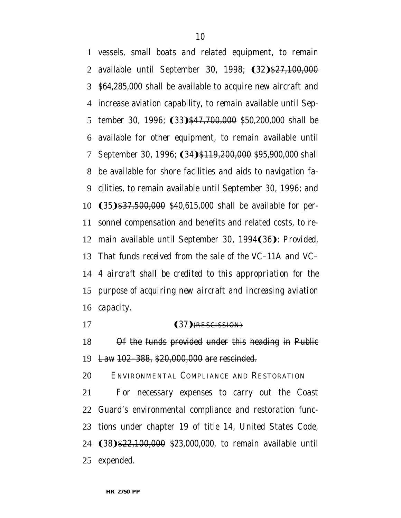vessels, small boats and related equipment, to remain 2 available until September 30, 1998; (32)\$27,100,000 *\$64,285,000* shall be available to acquire new aircraft and increase aviation capability, to remain available until Sep-5 tember 30, 1996; (33)<del>\$47,700,000</del> \$50,200,000 shall be available for other equipment, to remain available until 7 September 30, 1996; (34)<del>\$119,200,000</del> \$95,900,000 shall be available for shore facilities and aids to navigation fa- cilities, to remain available until September 30, 1996; and 10 (35) \$37,500,000 *\$40,615,000* shall be available for per- sonnel compensation and benefits and related costs, to re-12 main available until September 30, 1994(36): Provided, *That funds received from the sale of the VC–11A and VC– 4 aircraft shall be credited to this appropriation for the purpose of acquiring new aircraft and increasing aviation capacity*.

#### 17 (37) RESCISSION)

 Of the funds provided under this heading in Public Law 102–388, \$20,000,000 are rescinded.

ENVIRONMENTAL COMPLIANCE AND RESTORATION

 For necessary expenses to carry out the Coast Guard's environmental compliance and restoration func- tions under chapter 19 of title 14, United States Code, **(38) \$22,100,000** *\$23,000,000*, to remain available until expended.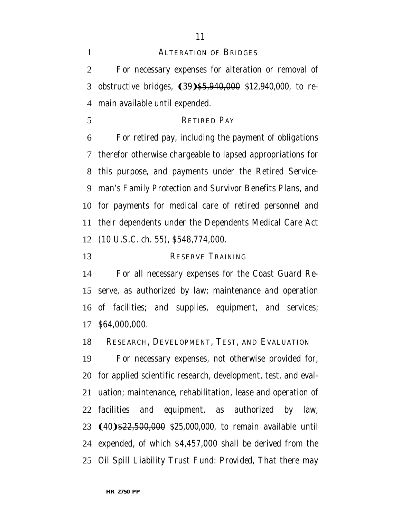#### ALTERATION OF BRIDGES

 For necessary expenses for alteration or removal of 3 obstructive bridges, (39)\$5,940,000 \$12,940,000, to re-main available until expended.

RETIRED PAY

 For retired pay, including the payment of obligations therefor otherwise chargeable to lapsed appropriations for this purpose, and payments under the Retired Service- man's Family Protection and Survivor Benefits Plans, and for payments for medical care of retired personnel and their dependents under the Dependents Medical Care Act (10 U.S.C. ch. 55), \$548,774,000.

RESERVE TRAINING

 For all necessary expenses for the Coast Guard Re- serve, as authorized by law; maintenance and operation of facilities; and supplies, equipment, and services; \$64,000,000.

RESEARCH, DEVELOPMENT, TEST, AND EVALUATION

 For necessary expenses, not otherwise provided for, for applied scientific research, development, test, and eval- uation; maintenance, rehabilitation, lease and operation of facilities and equipment, as authorized by law, 23 (40)\$22,500,000 *\$25,000,000*, to remain available until expended, of which \$4,457,000 shall be derived from the Oil Spill Liability Trust Fund: *Provided,* That there may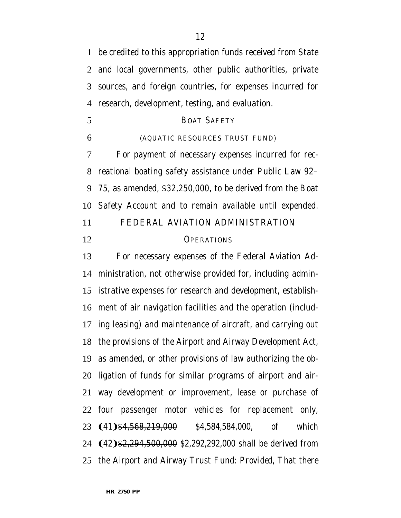be credited to this appropriation funds received from State and local governments, other public authorities, private sources, and foreign countries, for expenses incurred for research, development, testing, and evaluation.

- BOAT SAFETY
- 

#### (AQUATIC RESOURCES TRUST FUND)

 For payment of necessary expenses incurred for rec- reational boating safety assistance under Public Law 92– 75, as amended, \$32,250,000, to be derived from the Boat Safety Account and to remain available until expended.

FEDERAL AVIATION ADMINISTRATION

12 OPERATIONS

 For necessary expenses of the Federal Aviation Ad- ministration, not otherwise provided for, including admin- istrative expenses for research and development, establish- ment of air navigation facilities and the operation (includ- ing leasing) and maintenance of aircraft, and carrying out the provisions of the Airport and Airway Development Act, as amended, or other provisions of law authorizing the ob- ligation of funds for similar programs of airport and air- way development or improvement, lease or purchase of four passenger motor vehicles for replacement only, **(41)**\$4,568,219,000 *\$4,584,584,000*, of which **(42) \$2,294,500,000** *\$2,292,292,000* shall be derived from the Airport and Airway Trust Fund: *Provided,* That there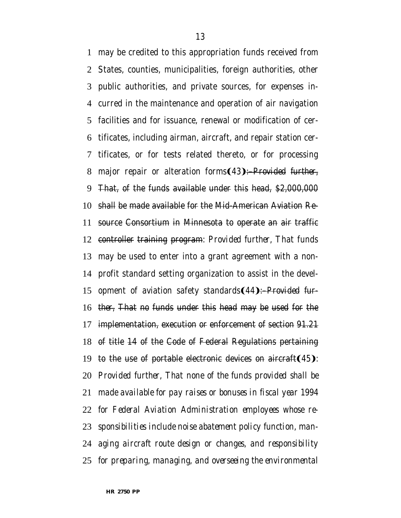may be credited to this appropriation funds received from States, counties, municipalities, foreign authorities, other public authorities, and private sources, for expenses in- curred in the maintenance and operation of air navigation facilities and for issuance, renewal or modification of cer- tificates, including airman, aircraft, and repair station cer- tificates, or for tests related thereto, or for processing 8 major repair or alteration forms(43):–Provided further, That, of the funds available under this head, \$2,000,000 shall be made available for the Mid-American Aviation Re- source Consortium in Minnesota to operate an air traffic controller training program: *Provided further,* That funds may be used to enter into a grant agreement with a non- profit standard setting organization to assist in the devel-15 opment of aviation safety standards (44):—*Provided fur- ther,* That no funds under this head may be used for the implementation, execution or enforcement of section 91.21 of title 14 of the Code of Federal Regulations pertaining 19 to the use of portable electronic devices on aircraft(45). *Provided further, That none of the funds provided shall be made available for pay raises or bonuses in fiscal year 1994 for Federal Aviation Administration employees whose re- sponsibilities include noise abatement policy function, man- aging aircraft route design or changes, and responsibility for preparing, managing, and overseeing the environmental*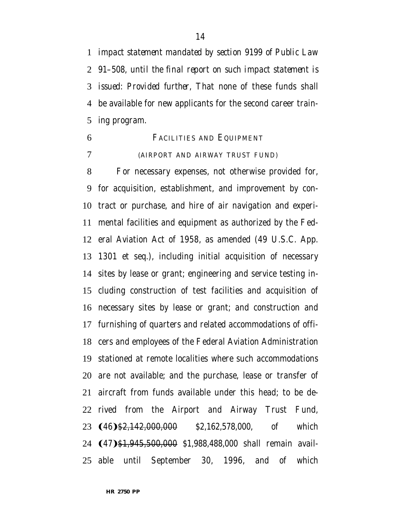*impact statement mandated by section 9199 of Public Law 91–508, until the final report on such impact statement is issued*: *Provided further,* That none of these funds shall be available for new applicants for the second career train-ing program.

 FACILITIES AND EQUIPMENT (AIRPORT AND AIRWAY TRUST FUND)

 For necessary expenses, not otherwise provided for, for acquisition, establishment, and improvement by con- tract or purchase, and hire of air navigation and experi- mental facilities and equipment as authorized by the Fed- eral Aviation Act of 1958, as amended (49 U.S.C. App. 1301 et seq.), including initial acquisition of necessary sites by lease or grant; engineering and service testing in- cluding construction of test facilities and acquisition of necessary sites by lease or grant; and construction and furnishing of quarters and related accommodations of offi- cers and employees of the Federal Aviation Administration stationed at remote localities where such accommodations are not available; and the purchase, lease or transfer of aircraft from funds available under this head; to be de- rived from the Airport and Airway Trust Fund, 23 (46) \$<del>2,142,000,000</del> *\$2,162,578,000*, of which 24 (47) \$1,945,500,000 *\$1,988,488,000* shall remain avail-able until September 30, 1996, and of which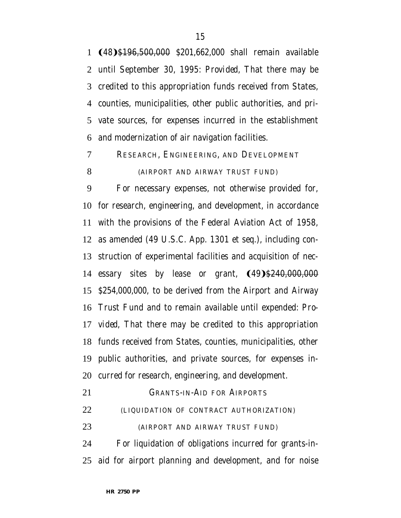**(48)**\$196,500,000 *\$201,662,000* shall remain available until September 30, 1995: *Provided,* That there may be credited to this appropriation funds received from States, counties, municipalities, other public authorities, and pri- vate sources, for expenses incurred in the establishment and modernization of air navigation facilities.

RESEARCH, ENGINEERING, AND DEVELOPMENT

## (AIRPORT AND AIRWAY TRUST FUND)

 For necessary expenses, not otherwise provided for, for research, engineering, and development, in accordance with the provisions of the Federal Aviation Act of 1958, as amended (49 U.S.C. App. 1301 et seq.), including con- struction of experimental facilities and acquisition of nec-14 essary sites by lease or grant,  $(49)$ \$240,000,000 *\$254,000,000*, to be derived from the Airport and Airway Trust Fund and to remain available until expended: *Pro- vided,* That there may be credited to this appropriation funds received from States, counties, municipalities, other public authorities, and private sources, for expenses in-curred for research, engineering, and development.

GRANTS-IN-AID FOR AIRPORTS

(LIQUIDATION OF CONTRACT AUTHORIZATION)

(AIRPORT AND AIRWAY TRUST FUND)

 For liquidation of obligations incurred for grants-in-aid for airport planning and development, and for noise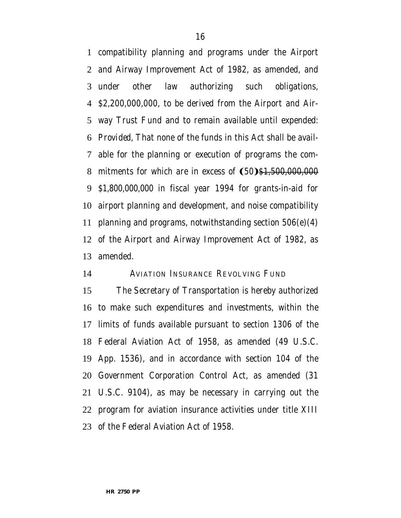compatibility planning and programs under the Airport and Airway Improvement Act of 1982, as amended, and under other law authorizing such obligations, \$2,200,000,000, to be derived from the Airport and Air- way Trust Fund and to remain available until expended: *Provided,* That none of the funds in this Act shall be avail- able for the planning or execution of programs the com-8 mitments for which are in excess of  $(50)$ \$1,500,000,000 *\$1,800,000,000* in fiscal year 1994 for grants-in-aid for airport planning and development, and noise compatibility 11 planning and programs, notwithstanding section  $506(e)(4)$  of the Airport and Airway Improvement Act of 1982, as amended.

## AVIATION INSURANCE REVOLVING FUND

 The Secretary of Transportation is hereby authorized to make such expenditures and investments, within the limits of funds available pursuant to section 1306 of the Federal Aviation Act of 1958, as amended (49 U.S.C. App. 1536), and in accordance with section 104 of the Government Corporation Control Act, as amended (31 U.S.C. 9104), as may be necessary in carrying out the program for aviation insurance activities under title XIII of the Federal Aviation Act of 1958.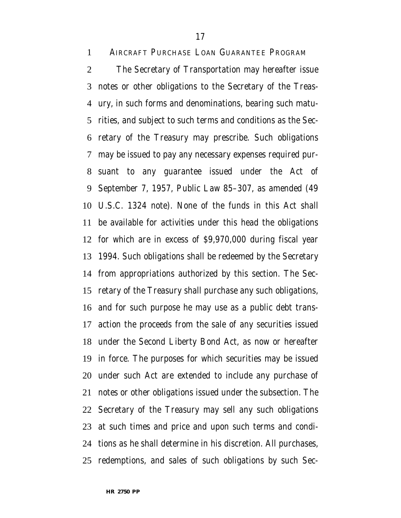AIRCRAFT PURCHASE LOAN GUARANTEE PROGRAM

 The Secretary of Transportation may hereafter issue notes or other obligations to the Secretary of the Treas- ury, in such forms and denominations, bearing such matu- rities, and subject to such terms and conditions as the Sec- retary of the Treasury may prescribe. Such obligations may be issued to pay any necessary expenses required pur- suant to any guarantee issued under the Act of September 7, 1957, Public Law 85–307, as amended (49 U.S.C. 1324 note). None of the funds in this Act shall be available for activities under this head the obligations for which are in excess of \$9,970,000 during fiscal year 1994. Such obligations shall be redeemed by the Secretary from appropriations authorized by this section. The Sec- retary of the Treasury shall purchase any such obligations, and for such purpose he may use as a public debt trans- action the proceeds from the sale of any securities issued under the Second Liberty Bond Act, as now or hereafter in force. The purposes for which securities may be issued under such Act are extended to include any purchase of notes or other obligations issued under the subsection. The Secretary of the Treasury may sell any such obligations at such times and price and upon such terms and condi- tions as he shall determine in his discretion. All purchases, redemptions, and sales of such obligations by such Sec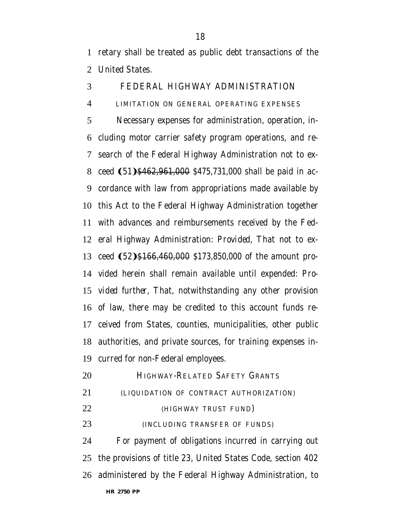retary shall be treated as public debt transactions of the United States.

# FEDERAL HIGHWAY ADMINISTRATION

#### LIMITATION ON GENERAL OPERATING EXPENSES

 Necessary expenses for administration, operation, in- cluding motor carrier safety program operations, and re- search of the Federal Highway Administration not to ex-8 ceed (51) \$462,961,000 \$475,731,000 shall be paid in ac- cordance with law from appropriations made available by this Act to the Federal Highway Administration together with advances and reimbursements received by the Fed- eral Highway Administration: *Provided,* That not to ex-13 ceed (52) \$166,460,000 \$173,850,000 of the amount pro- vided herein shall remain available until expended: *Pro- vided further,* That, notwithstanding any other provision of law, there may be credited to this account funds re- ceived from States, counties, municipalities, other public authorities, and private sources, for training expenses in-curred for non-Federal employees.

- **HIGHWAY-RELATED SAFETY GRANTS**  (LIQUIDATION OF CONTRACT AUTHORIZATION) (HIGHWAY TRUST FUND) (INCLUDING TRANSFER OF FUNDS) For payment of obligations incurred in carrying out the provisions of title 23, United States Code, section 402
- **HR 2750 PP** administered by the Federal Highway Administration, to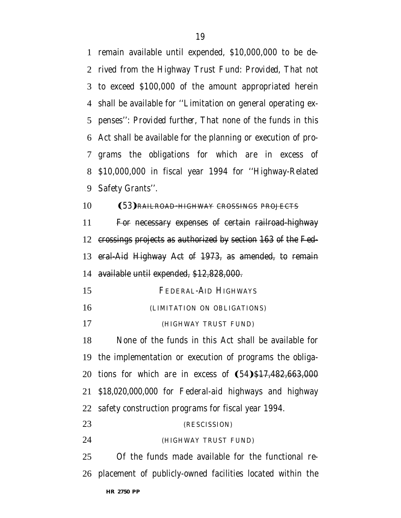remain available until expended, \$10,000,000 to be de- rived from the Highway Trust Fund: *Provided,* That not to exceed \$100,000 of the amount appropriated herein shall be available for ''Limitation on general operating ex- penses'': *Provided further,* That none of the funds in this Act shall be available for the planning or execution of pro- grams the obligations for which are in excess of \$10,000,000 in fiscal year 1994 for ''Highway-Related Safety Grants''.

## 10 (53) RAILROAD-HIGHWAY CROSSINGS PROJECTS

 For necessary expenses of certain railroad-highway crossings projects as authorized by section 163 of the Fed- eral-Aid Highway Act of 1973, as amended, to remain available until expended, \$12,828,000.

- FEDERAL-AID HIGHWAYS
- (LIMITATION ON OBLIGATIONS)
- (HIGHWAY TRUST FUND)

 None of the funds in this Act shall be available for the implementation or execution of programs the obliga-20 tions for which are in excess of  $(54)$ \$17,482,663,000 *\$18,020,000,000* for Federal-aid highways and highway safety construction programs for fiscal year 1994.

# (RESCISSION)

(HIGHWAY TRUST FUND)

 Of the funds made available for the functional re-placement of publicly-owned facilities located within the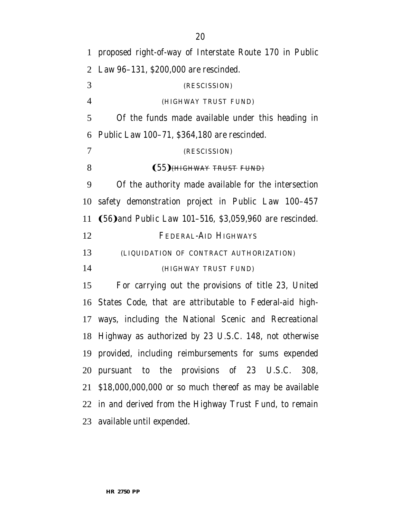proposed right-of-way of Interstate Route 170 in Public Law 96–131, \$200,000 are rescinded. (RESCISSION) (HIGHWAY TRUST FUND) Of the funds made available under this heading in Public Law 100–71, \$364,180 are rescinded. (RESCISSION) 8 (55) HHGHWAY TRUST FUND Of the authority made available for the intersection safety demonstration project in Public Law 100–457 11 (56) and Public Law 101–516, \$3,059,960 are rescinded. FEDERAL-AID HIGHWAYS (LIQUIDATION OF CONTRACT AUTHORIZATION) (HIGHWAY TRUST FUND) For carrying out the provisions of title 23, United States Code, that are attributable to Federal-aid high- ways, including the National Scenic and Recreational Highway as authorized by 23 U.S.C. 148, not otherwise provided, including reimbursements for sums expended pursuant to the provisions of 23 U.S.C. 308, \$18,000,000,000 or so much thereof as may be available in and derived from the Highway Trust Fund, to remain available until expended.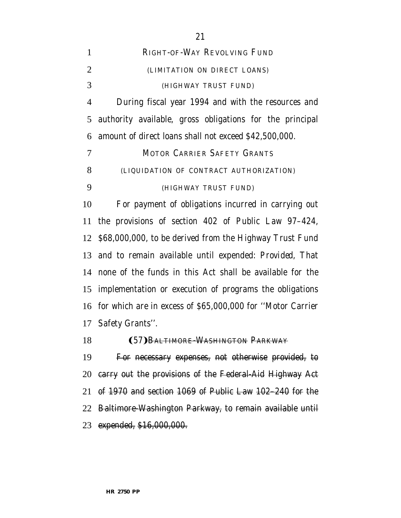| $\mathbf{1}$   | RIGHT-OF-WAY REVOLVING FUND                                    |
|----------------|----------------------------------------------------------------|
| $\overline{2}$ | (LIMITATION ON DIRECT LOANS)                                   |
| 3              | (HIGHWAY TRUST FUND)                                           |
| $\overline{4}$ | During fiscal year 1994 and with the resources and             |
| 5              | authority available, gross obligations for the principal       |
| 6              | amount of direct loans shall not exceed \$42,500,000.          |
| 7              | <b>MOTOR CARRIER SAFETY GRANTS</b>                             |
| 8              | (LIQUIDATION OF CONTRACT AUTHORIZATION)                        |
| 9              | (HIGHWAY TRUST FUND)                                           |
| 10             | For payment of obligations incurred in carrying out            |
| 11             | the provisions of section 402 of Public Law 97-424,            |
|                | 12 \$68,000,000, to be derived from the Highway Trust Fund     |
|                | 13 and to remain available until expended: Provided, That      |
| 14             | none of the funds in this Act shall be available for the       |
| 15             | implementation or execution of programs the obligations        |
|                | 16 for which are in excess of \$65,000,000 for "Motor Carrier" |
|                | 17 Safety Grants".                                             |
| 18             | (57) BALTIMORE-WASHINGTON PARKWAY                              |
| 19             | For necessary expenses, not otherwise provided, to             |
| 20             | carry out the provisions of the Federal-Aid Highway Act        |
| 21             | of 1970 and section 1069 of Public Law 102-240 for the         |

 Baltimore-Washington Parkway, to remain available until expended, \$16,000,000.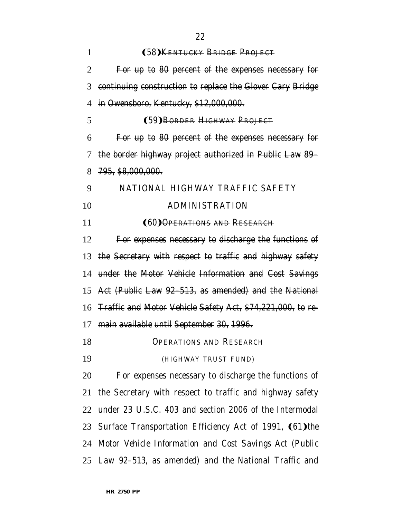| $\mathbf{1}$ | (58) KENTUCKY BRIDGE PROJECT                                |
|--------------|-------------------------------------------------------------|
| 2            | For up to 80 percent of the expenses necessary for          |
| 3            | continuing construction to replace the Glover Cary Bridge   |
| 4            | in Owensboro, Kentucky, \$12,000,000.                       |
| 5            | (59) BORDER HIGHWAY PROJECT                                 |
| 6            | For up to 80 percent of the expenses necessary for          |
| 7            | the border highway project authorized in Public Law 89-     |
| 8            | <del>795, \$8,000,000.</del>                                |
| 9            | NATIONAL HIGHWAY TRAFFIC SAFETY                             |
| 10           | <b>ADMINISTRATION</b>                                       |
| 11           | <b>(60) OPERATIONS AND RESEARCH</b>                         |
| 12           | For expenses necessary to discharge the functions of        |
|              | 13 the Secretary with respect to traffic and highway safety |
| 14           | under the Motor Vehicle Information and Cost Savings        |
|              | 15 Act (Public Law 92-513, as amended) and the National     |
| 16           | Traffic and Motor Vehicle Safety Act, \$74,221,000, to re-  |
| 17           | main available until September 30, 1996.                    |
| 18           | <b>OPERATIONS AND RESEARCH</b>                              |
| 19           | (HIGHWAY TRUST FUND)                                        |
| 20           | For expenses necessary to discharge the functions of        |
|              | 21 the Secretary with respect to traffic and highway safety |
| 22           | under 23 U.S.C. 403 and section 2006 of the Intermodal      |
|              | 23 Surface Transportation Efficiency Act of 1991, (61) the  |
|              | 24 Motor Vehicle Information and Cost Savings Act (Public   |
|              | 25 Law 92–513, as amended) and the National Traffic and     |
|              |                                                             |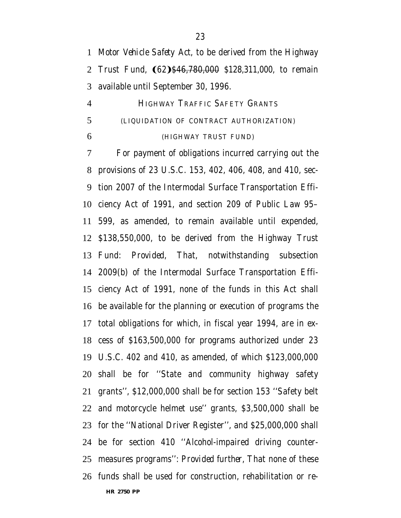*Motor Vehicle Safety Act*, to be derived from the Highway 2 Trust Fund, **(62)**\$46,780,000 *\$128,311,000*, to remain available until September 30, 1996.

 HIGHWAY TRAFFIC SAFETY GRANTS (LIQUIDATION OF CONTRACT AUTHORIZATION) (HIGHWAY TRUST FUND)

 For payment of obligations incurred carrying out the provisions of 23 U.S.C. 153, 402, 406, 408, and 410, sec- tion 2007 of the Intermodal Surface Transportation Effi- ciency Act of 1991, and section 209 of Public Law 95– 599, as amended, to remain available until expended, \$138,550,000, to be derived from the Highway Trust Fund: *Provided,* That, notwithstanding subsection 2009(b) of the Intermodal Surface Transportation Effi- ciency Act of 1991, none of the funds in this Act shall be available for the planning or execution of programs the total obligations for which, in fiscal year 1994, are in ex- cess of \$163,500,000 for programs authorized under 23 U.S.C. 402 and 410, as amended, of which \$123,000,000 shall be for ''State and community highway safety grants'', \$12,000,000 shall be for section 153 ''Safety belt and motorcycle helmet use'' grants, \$3,500,000 shall be for the ''National Driver Register'', and \$25,000,000 shall be for section 410 ''Alcohol-impaired driving counter- measures programs'': *Provided further,* That none of these funds shall be used for construction, rehabilitation or re-

**HR 2750 PP**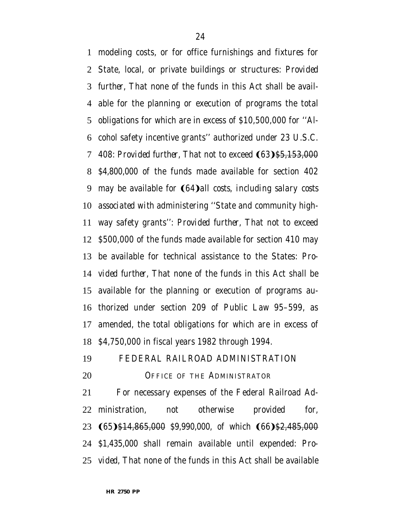modeling costs, or for office furnishings and fixtures for State, local, or private buildings or structures: *Provided further,* That none of the funds in this Act shall be avail- able for the planning or execution of programs the total obligations for which are in excess of \$10,500,000 for ''Al- cohol safety incentive grants'' authorized under 23 U.S.C. 7 408: *Provided further*. That not to exceed (63)<del>\$5,153,000</del> *\$4,800,000* of the funds made available for section 402 9 may be available for **(64)** all costs, including salary costs *associated with* administering ''State and community high- way safety grants'': *Provided further,* That not to exceed \$500,000 of the funds made available for section 410 may be available for technical assistance to the States: *Pro- vided further,* That none of the funds in this Act shall be available for the planning or execution of programs au- thorized under section 209 of Public Law 95–599, as amended, the total obligations for which are in excess of \$4,750,000 in fiscal years 1982 through 1994.

FEDERAL RAILROAD ADMINISTRATION

20 OFFICE OF THE ADMINISTRATOR

 For necessary expenses of the Federal Railroad Ad- ministration, not otherwise provided for, 23 (65)\$14,865,000 *\$9,990,000*, of which (66)\$2,485,000 *\$1,435,000* shall remain available until expended: *Pro-vided,* That none of the funds in this Act shall be available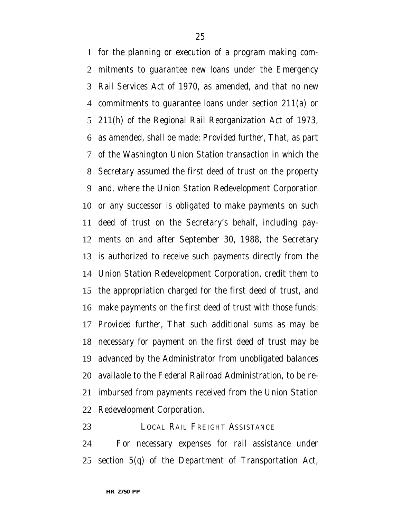for the planning or execution of a program making com- mitments to guarantee new loans under the Emergency Rail Services Act of 1970, as amended, and that no new commitments to guarantee loans under section 211(a) or 211(h) of the Regional Rail Reorganization Act of 1973, as amended, shall be made: *Provided further,* That, as part of the Washington Union Station transaction in which the Secretary assumed the first deed of trust on the property and, where the Union Station Redevelopment Corporation or any successor is obligated to make payments on such deed of trust on the Secretary's behalf, including pay- ments on and after September 30, 1988, the Secretary is authorized to receive such payments directly from the Union Station Redevelopment Corporation, credit them to the appropriation charged for the first deed of trust, and make payments on the first deed of trust with those funds: *Provided further,* That such additional sums as may be necessary for payment on the first deed of trust may be advanced by the Administrator from unobligated balances available to the Federal Railroad Administration, to be re- imbursed from payments received from the Union Station Redevelopment Corporation.

LOCAL RAIL FREIGHT ASSISTANCE

 For necessary expenses for rail assistance under section 5(q) of the Department of Transportation Act,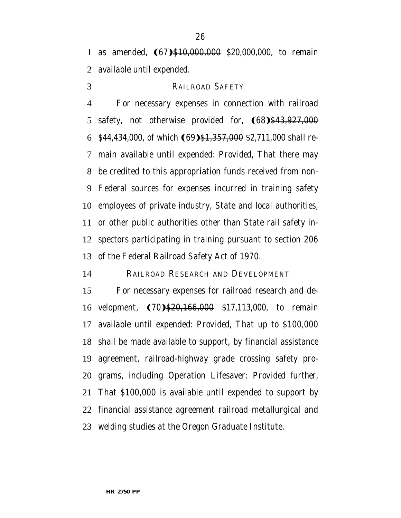1 as amended, (67)\$10,000,000 \$20,000,000, to remain available until expended.

# RAILROAD SAFETY

 For necessary expenses in connection with railroad 5 safety, not otherwise provided for,  $(68)$ \$43,927,000 *\$44,434,000*, of which (69) \$1,357,000 *\$2,711,000* shall re- main available until expended: *Provided,* That there may be credited to this appropriation funds received from non- Federal sources for expenses incurred in training safety employees of private industry, State and local authorities, or other public authorities other than State rail safety in- spectors participating in training pursuant to section 206 of the Federal Railroad Safety Act of 1970.

RAILROAD RESEARCH AND DEVELOPMENT

 For necessary expenses for railroad research and de-16 velopment, (70)\$20,166,000 \$17,113,000, to remain available until expended: *Provided,* That up to \$100,000 shall be made available to support, by financial assistance agreement, railroad-highway grade crossing safety pro- grams, including Operation Lifesaver: *Provided further,* That \$100,000 is available until expended to support by financial assistance agreement railroad metallurgical and welding studies at the Oregon Graduate Institute.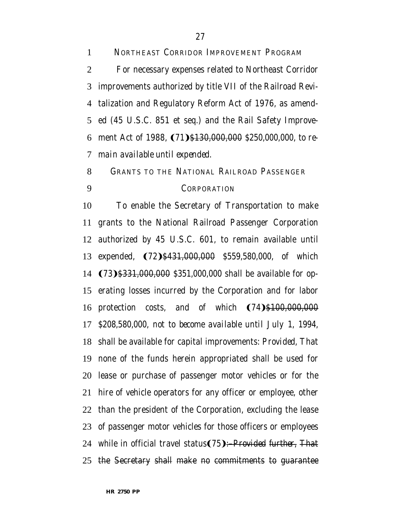NORTHEAST CORRIDOR IMPROVEMENT PROGRAM For necessary expenses related to Northeast Corridor improvements authorized by title VII of the Railroad Revi- talization and Regulatory Reform Act of 1976, as amend- ed (45 U.S.C. 851 et seq.) and the Rail Safety Improve-6 ment Act of 1988, (71)<del>\$130,000,000</del> \$250,000,000, to re-*main available until expended*.

# GRANTS TO THE NATIONAL RAILROAD PASSENGER CORPORATION

 To enable the Secretary of Transportation to make grants to the National Railroad Passenger Corporation authorized by 45 U.S.C. 601, to remain available until 13 expended, (72) \$431,000,000 *\$559,580,000*, of which 14 (73) \$331,000,000 *\$351,000,000* shall be available for op- erating losses incurred by the Corporation and for labor 16 protection costs, and of which  $(74)$ \$100,000,000 *\$208,580,000, not to become available until July 1, 1994,* shall be available for capital improvements: *Provided,* That none of the funds herein appropriated shall be used for lease or purchase of passenger motor vehicles or for the hire of vehicle operators for any officer or employee, other than the president of the Corporation, excluding the lease of passenger motor vehicles for those officers or employees 24 while in official travel status(75):–*Provided further*, That the Secretary shall make no commitments to guarantee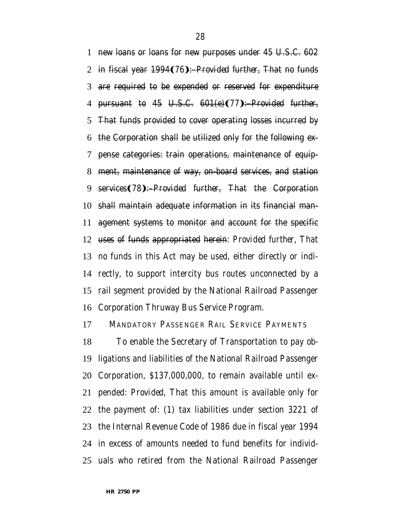new loans or loans for new purposes under 45 U.S.C. 602 2 in fiscal year 1994(76):–*Provided further*, That no funds are required to be expended or reserved for expenditure 4 pursuant to 45 U.S.C. 601(e)(77): *Provided further,*  That funds provided to cover operating losses incurred by the Corporation shall be utilized only for the following ex- pense categories: train operations, maintenance of equip- ment, maintenance of way, on-board services, and station 9 services(78):–*Provided further*, That the Corporation shall maintain adequate information in its financial man- agement systems to monitor and account for the specific uses of funds appropriated herein: *Provided further,* That no funds in this Act may be used, either directly or indi- rectly, to support intercity bus routes unconnected by a rail segment provided by the National Railroad Passenger Corporation Thruway Bus Service Program.

MANDATORY PASSENGER RAIL SERVICE PAYMENTS

 To enable the Secretary of Transportation to pay ob- ligations and liabilities of the National Railroad Passenger Corporation, \$137,000,000, to remain available until ex- pended: *Provided*, That this amount is available only for the payment of: (1) tax liabilities under section 3221 of the Internal Revenue Code of 1986 due in fiscal year 1994 in excess of amounts needed to fund benefits for individ-uals who retired from the National Railroad Passenger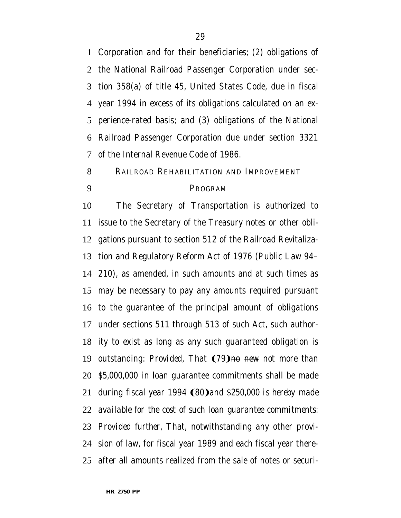Corporation and for their beneficiaries; (2) obligations of the National Railroad Passenger Corporation under sec- tion 358(a) of title 45, United States Code, due in fiscal year 1994 in excess of its obligations calculated on an ex- perience-rated basis; and (3) obligations of the National Railroad Passenger Corporation due under section 3321 of the Internal Revenue Code of 1986.

RAILROAD REHABILITATION AND IMPROVEMENT

## PROGRAM

 The Secretary of Transportation is authorized to issue to the Secretary of the Treasury notes or other obli- gations pursuant to section 512 of the Railroad Revitaliza- tion and Regulatory Reform Act of 1976 (Public Law 94– 210), as amended, in such amounts and at such times as may be necessary to pay any amounts required pursuant to the guarantee of the principal amount of obligations under sections 511 through 513 of such Act, such author- ity to exist as long as any such guaranteed obligation is 19 outstanding: *Provided*, That (79) no new *not more than \$5,000,000 in* loan guarantee commitments shall be made 21 during fiscal year 1994 **(80)** and \$250,000 is hereby made *available for the cost of such loan guarantee commitments*: *Provided further,* That, notwithstanding any other provi- sion of law, for fiscal year 1989 and each fiscal year there-after all amounts realized from the sale of notes or securi-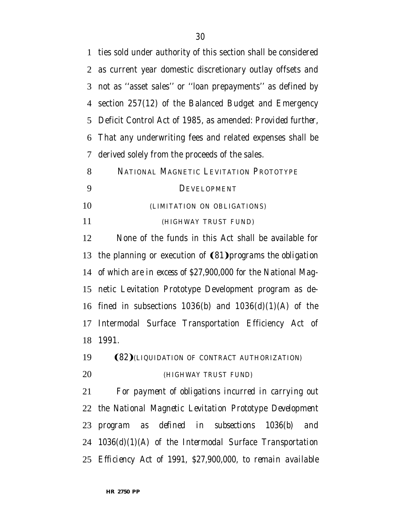ties sold under authority of this section shall be considered as current year domestic discretionary outlay offsets and not as ''asset sales'' or ''loan prepayments'' as defined by section 257(12) of the Balanced Budget and Emergency Deficit Control Act of 1985, as amended: *Provided further,* That any underwriting fees and related expenses shall be derived solely from the proceeds of the sales. NATIONAL MAGNETIC LEVITATION PROTOTYPE DEVELOPMENT (LIMITATION ON OBLIGATIONS) (HIGHWAY TRUST FUND) None of the funds in this Act shall be available for 13 the planning or execution of **(81)** *programs the obligation of which are in excess of \$27,900,000 for* the National Mag- netic Levitation Prototype Development program as de-16 fined in subsections  $1036(b)$  and  $1036(d)(1)(A)$  of the Intermodal Surface Transportation Efficiency Act of 1991. **(82)** *(LIQUIDATION OF CONTRACT AUTHORIZATION) (HIGHWAY TRUST FUND) For payment of obligations incurred in carrying out the National Magnetic Levitation Prototype Development program as defined in subsections 1036(b) and 1036(d)(1)(A) of the Intermodal Surface Transportation Efficiency Act of 1991, \$27,900,000, to remain available*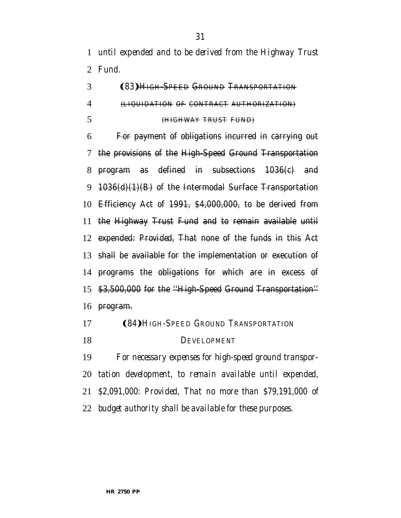*until expended and to be derived from the Highway Trust Fund.*

# **(83) HIGH-SPEED GROUND TRANSPORTATION**  (LIQUIDATION OF CONTRACT AUTHORIZATION) (HIGHWAY TRUST FUND)

 For payment of obligations incurred in carrying out the provisions of the High-Speed Ground Transportation program as defined in subsections 1036(c) and 1036(d)(1)(B) of the Intermodal Surface Transportation Efficiency Act of 1991, \$4,000,000, to be derived from the Highway Trust Fund and to remain available until expended: *Provided,* That none of the funds in this Act shall be available for the implementation or execution of 14 programs the obligations for which are in excess of \$3,500,000 for the ''High-Speed Ground Transportation'' program.

- Ω84æ*HIGH-SPEED GROUND TRANSPORTATION*
- *DEVELOPMENT*

 *For necessary expenses for high-speed ground transpor- tation development, to remain available until expended, \$2,091,000: Provided, That no more than \$79,191,000 of budget authority shall be available for these purposes.*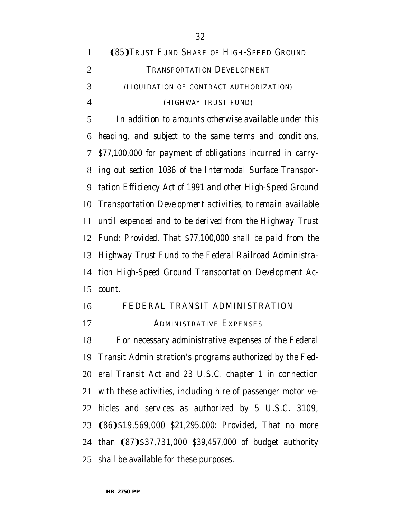| $\mathbf{1}$   | <b>(85) TRUST FUND SHARE OF HIGH-SPEED GROUND</b>           |
|----------------|-------------------------------------------------------------|
| $\overline{2}$ | TRANSPORTATION DEVELOPMENT                                  |
| 3              | (LIQUIDATION OF CONTRACT AUTHORIZATION)                     |
| $\overline{4}$ | (HIGHWAY TRUST FUND)                                        |
| 5              | In addition to amounts otherwise available under this       |
| 6              | heading, and subject to the same terms and conditions,      |
| $\mathcal{T}$  | \$77,100,000 for payment of obligations incurred in carry-  |
| 8              | ing out section 1036 of the Intermodal Surface Transpor-    |
| 9              | tation Efficiency Act of 1991 and other High-Speed Ground   |
| 10             | Transportation Development activities, to remain available  |
| 11             | until expended and to be derived from the Highway Trust     |
|                | 12 Fund: Provided, That \$77,100,000 shall be paid from the |
|                | 13 Highway Trust Fund to the Federal Railroad Administra-   |
|                | 14 tion High-Speed Ground Transportation Development Ac-    |
| 15             | count.                                                      |

## FEDERAL TRANSIT ADMINISTRATION

ADMINISTRATIVE EXPENSES

 For necessary administrative expenses of the Federal Transit Administration's programs authorized by the Fed- eral Transit Act and 23 U.S.C. chapter 1 in connection with these activities, including hire of passenger motor ve- hicles and services as authorized by 5 U.S.C. 3109, **(86)**\$19,569,000 *\$21,295,000: Provided,* That no more 24 than (87) \$37,731,000 \$39,457,000 of budget authority shall be available for these purposes.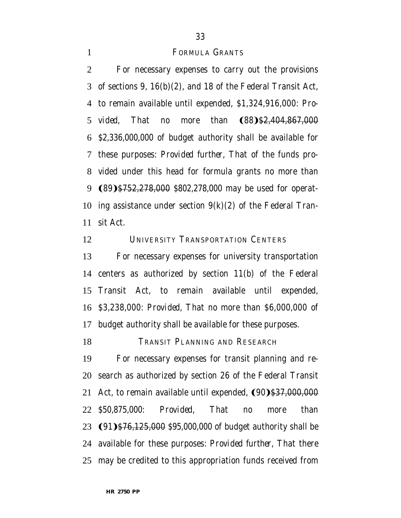#### **FORMULA GRANTS**

 For necessary expenses to carry out the provisions of sections 9, 16(b)(2), and 18 of the Federal Transit Act, to remain available until expended, \$1,324,916,000: *Pro-vided*, That no more than (88)\$2,404,867,000 *\$2,336,000,000* of budget authority shall be available for these purposes: *Provided further,* That of the funds pro- vided under this head for formula grants no more than 9 (89)\$752,278,000 *\$802,278,000* may be used for operat-10 ing assistance under section  $9(k)(2)$  of the Federal Tran-sit Act.

12 UNIVERSITY TRANSPORTATION CENTERS

 For necessary expenses for university transportation centers as authorized by section 11(b) of the Federal Transit Act, to remain available until expended, \$3,238,000: *Provided,* That no more than \$6,000,000 of budget authority shall be available for these purposes.

18 TRANSIT PLANNING AND RESEARCH

 For necessary expenses for transit planning and re- search as authorized by section 26 of the Federal Transit 21 Act, to remain available until expended, (90)\$37,000,000 *\$50,875,000*: *Provided,* That no more than 23 (91) \$76,125,000 *\$95,000,000* of budget authority shall be available for these purposes: *Provided further,* That there may be credited to this appropriation funds received from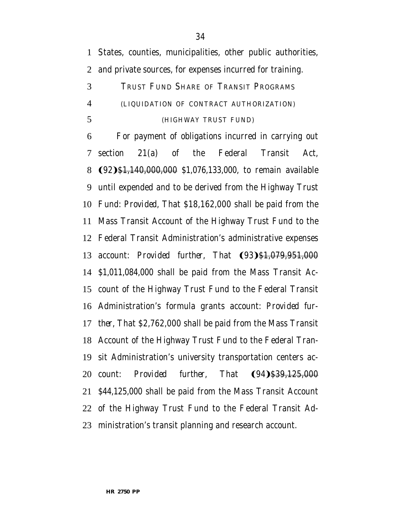States, counties, municipalities, other public authorities, and private sources, for expenses incurred for training.

# TRUST FUND SHARE OF TRANSIT PROGRAMS (LIQUIDATION OF CONTRACT AUTHORIZATION) (HIGHWAY TRUST FUND)

 For payment of obligations incurred in carrying out section 21(a) of the Federal Transit Act, **(92)**\$1,140,000,000 *\$1,076,133,000*, to remain available until expended and to be derived from the Highway Trust Fund: *Provided,* That \$18,162,000 shall be paid from the Mass Transit Account of the Highway Trust Fund to the Federal Transit Administration's administrative expenses 13 account: *Provided further*, That  $(93)$ \$1,079,951,000 *\$1,011,084,000* shall be paid from the Mass Transit Ac- count of the Highway Trust Fund to the Federal Transit Administration's formula grants account: *Provided fur- ther,* That \$2,762,000 shall be paid from the Mass Transit Account of the Highway Trust Fund to the Federal Tran- sit Administration's university transportation centers ac-20 count: *Provided further*, That  $(94)$ \$39,125,000 *\$44,125,000* shall be paid from the Mass Transit Account of the Highway Trust Fund to the Federal Transit Ad-ministration's transit planning and research account.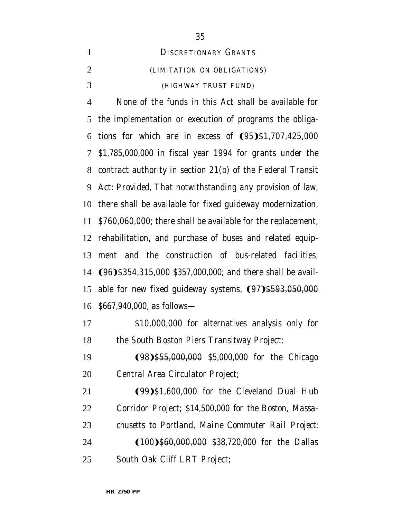None of the funds in this Act shall be available for the implementation or execution of programs the obliga-6 tions for which are in excess of  $(95)$ \$1,707,425,000 *\$1,785,000,000* in fiscal year 1994 for grants under the contract authority in section 21(b) of the Federal Transit Act: *Provided,* That notwithstanding any provision of law, there shall be available for fixed guideway modernization, \$760,060,000; there shall be available for the replacement, rehabilitation, and purchase of buses and related equip- ment and the construction of bus-related facilities, 14 (96) \$354,315,000 *\$357,000,000*; and there shall be avail-15 able for new fixed guideway systems,  $(97)$ \$593,050,000 *\$667,940,000*, as follows—

 \$10,000,000 for alternatives analysis only for 18 the South Boston Piers Transitway Project;

**(98)**\$55,000,000 *\$5,000,000* for the Chicago Central Area Circulator Project;

**(99)**\$1,600,000 for the Cleveland Dual Hub Corridor Project; *\$14,500,000 for the Boston, Massa- chusetts to Portland, Maine Commuter Rail Project;* **(100)**\$60,000,000 *\$38,720,000* for the Dallas

South Oak Cliff LRT Project;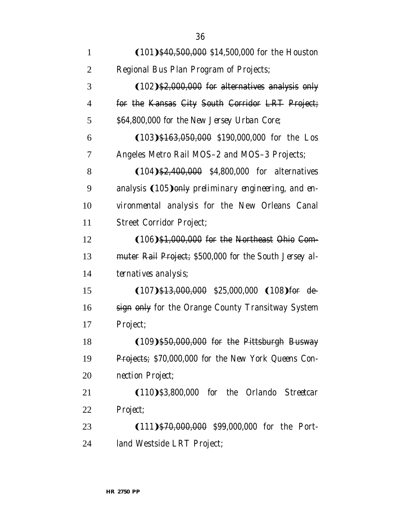| $\mathbf{1}$   | $(101)$ \$40,500,000 \$14,500,000 for the Houston           |
|----------------|-------------------------------------------------------------|
| $\overline{2}$ | Regional Bus Plan Program of Projects;                      |
| 3              | (102) \$2,000,000 for alternatives analysis only            |
| 4              | for the Kansas City South Corridor LRT Project;             |
| 5              | \$64,800,000 for the New Jersey Urban Core;                 |
| 6              | $(103)$ \$163,050,000 \$190,000,000 for the Los             |
| 7              | Angeles Metro Rail MOS-2 and MOS-3 Projects;                |
| 8              | $(104)$ \$2,400,000 \$4,800,000 for alternatives            |
| 9              | analysis $(105)$ only preliminary engineering, and en-      |
| 10             | vironmental analysis for the New Orleans Canal              |
| 11             | <b>Street Corridor Project;</b>                             |
| 12             | $(106)$ \$1,000,000 for the Northeast Ohio Com-             |
| 13             | muter Rail Project; \$500,000 for the South Jersey al-      |
| 14             | ternatives analysis;                                        |
| 15             | $(107)$ \$13,000,000 \$25,000,000 $(108)$ for de-           |
| 16             | sign only for the Orange County Transitway System           |
| 17             | Project;                                                    |
| 18             | (109)\$50,000,000 for the Pittsburgh Busway                 |
| 19             | <b>Projects</b> ; \$70,000,000 for the New York Queens Con- |
| 20             | nection Project;                                            |
| 21             | $(110)\$ \$3,800,000 for the Orlando Streetcar              |
| 22             | Project;                                                    |
| 23             | (111) \$70,000,000 \$99,000,000 for the Port-               |
| 24             | land Westside LRT Project;                                  |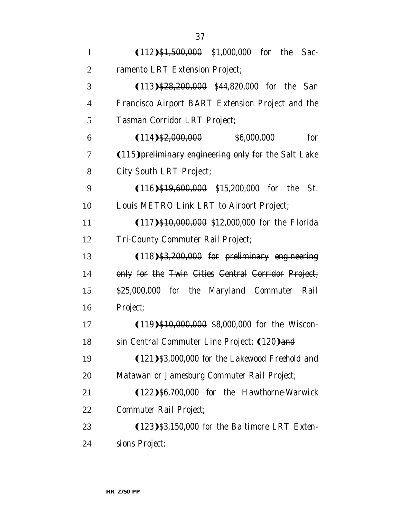| $\mathbf{1}$   | $(112)$ \$1,500,000 \$1,000,000 for the Sac-            |
|----------------|---------------------------------------------------------|
| $\overline{2}$ | ramento LRT Extension Project;                          |
| 3              | $(113)$ \$28,200,000 \$44,820,000 for the San           |
| 4              | Francisco Airport BART Extension Project and the        |
| 5              | Tasman Corridor LRT Project;                            |
| 6              | $(114)$ \$2,000,000 $$6,000,000$<br>for                 |
| 7              | (115) preliminary engineering only for the Salt Lake    |
| 8              | City South LRT Project;                                 |
| 9              | $(116)$ \$19,600,000 \$15,200,000 for the St.           |
| 10             | Louis METRO Link LRT to Airport Project;                |
| 11             | $(117)$ \$10,000,000 \$12,000,000 for the Florida       |
| 12             | Tri-County Commuter Rail Project;                       |
| 13             | $(118)$ \$3,200,000 for preliminary engineering         |
| 14             | only for the Twin Cities Central Corridor Project;      |
| 15             | \$25,000,000 for the Maryland Commuter Rail             |
| 16             | Project;                                                |
| 17             | $(119)$ \$10,000,000 <i>\$8,000,000</i> for the Wiscon- |
| 18             | sin Central Commuter Line Project; (120) and            |
| 19             | $(121)$ \$3,000,000 for the Lakewood Freehold and       |
| 20             | Matawan or Jamesburg Commuter Rail Project;             |
| 21             | (122) \$6,700,000 for the Hawthorne-Warwick             |
| 22             | Commuter Rail Project;                                  |
| 23             | $(123)\$ \$3,150,000 for the Baltimore LRT Exten-       |
| 24             | sions Project;                                          |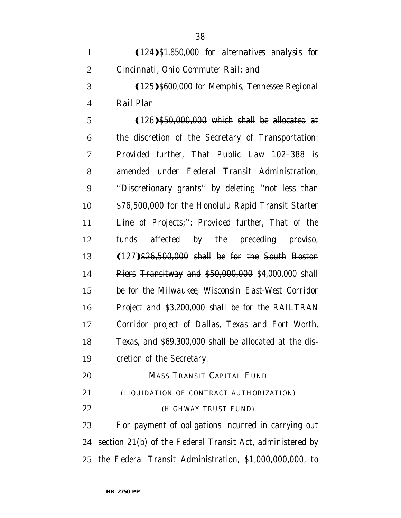**(125)** \$600,000 for Memphis, Tennessee Regional *Rail Plan*

5 (126) \$50,000,000 which shall be allocated at the discretion of the Secretary of Transportation: *Provided further,* That Public Law 102–388 is amended under Federal Transit Administration, ''Discretionary grants'' by deleting ''not less than \$76,500,000 for the Honolulu Rapid Transit Starter Line of Projects;'': *Provided further,* That of the funds affected by the preceding proviso, 13 (127) \$26,500,000 shall be for the South Boston Piers Transitway and \$50,000,000 *\$4,000,000 shall be for the Milwaukee, Wisconsin East-West Corridor Project and \$3,200,000 shall be for the RAILTRAN Corridor project of Dallas, Texas and Fort Worth, Texas, and \$69,300,000* shall be allocated at the dis-cretion of the Secretary.

- MASS TRANSIT CAPITAL FUND (LIQUIDATION OF CONTRACT AUTHORIZATION)
- (HIGHWAY TRUST FUND)

 For payment of obligations incurred in carrying out section 21(b) of the Federal Transit Act, administered by the Federal Transit Administration, \$1,000,000,000, to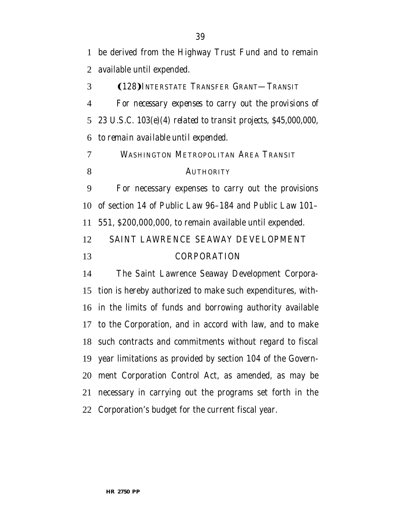be derived from the Highway Trust Fund and to remain available until expended.

3 (128) INTERSTATE TRANSFER GRANT—TRANSIT

 *For necessary expenses to carry out the provisions of 23 U.S.C. 103(e)(4) related to transit projects, \$45,000,000, to remain available until expended.*

 WASHINGTON METROPOLITAN AREA TRANSIT 8 AUTHORITY

 For necessary expenses to carry out the provisions of section 14 of Public Law 96–184 and Public Law 101– 551, \$200,000,000, to remain available until expended. SAINT LAWRENCE SEAWAY DEVELOPMENT CORPORATION

 The Saint Lawrence Seaway Development Corpora- tion is hereby authorized to make such expenditures, with- in the limits of funds and borrowing authority available to the Corporation, and in accord with law, and to make such contracts and commitments without regard to fiscal year limitations as provided by section 104 of the Govern- ment Corporation Control Act, as amended, as may be necessary in carrying out the programs set forth in the Corporation's budget for the current fiscal year.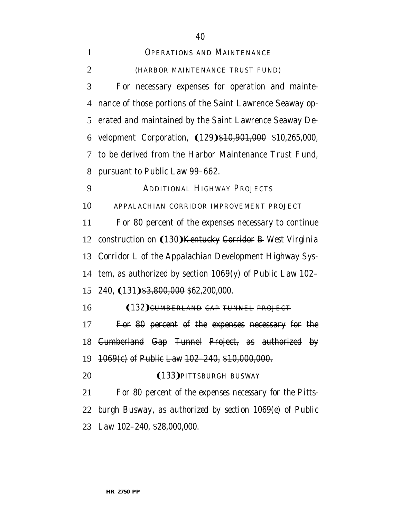| $\mathbf{1}$   | <b>OPERATIONS AND MAINTENANCE</b>                            |
|----------------|--------------------------------------------------------------|
| $\overline{2}$ | (HARBOR MAINTENANCE TRUST FUND)                              |
| 3              | For necessary expenses for operation and mainte-             |
| 4              | nance of those portions of the Saint Lawrence Seaway op-     |
| 5              | erated and maintained by the Saint Lawrence Seaway De-       |
| 6              | velopment Corporation, (129) \$10,901,000 \$10,265,000,      |
| 7              | to be derived from the Harbor Maintenance Trust Fund,        |
| 8              | pursuant to Public Law 99-662.                               |
| 9              | <b>ADDITIONAL HIGHWAY PROJECTS</b>                           |
| 10             | APPALACHIAN CORRIDOR IMPROVEMENT PROJECT                     |
| 11             | For 80 percent of the expenses necessary to continue         |
| 12             | construction on (130) Kentucky Corridor B West Virginia      |
|                | 13 Corridor L of the Appalachian Development Highway Sys-    |
| 14             | tem, as authorized by section $1069(y)$ of Public Law 102-   |
|                | 15 240, (131) \$3,800,000 \$62,200,000.                      |
| 16             | (132) CUMBERLAND GAP TUNNEL PROJECT                          |
| 17             | For 80 percent of the expenses necessary for the             |
|                | 18 Cumberland Gap Tunnel Project, as authorized by           |
|                | 19 1069(c) of Public Law 102-240, \$10,000,000.              |
| 20             | (133) PITTSBURGH BUSWAY                                      |
| 21             | For 80 percent of the expenses necessary for the Pitts-      |
|                | 22  burgh Busway, as authorized by section 1069(e) of Public |
|                | 23 Law 102–240, \$28,000,000.                                |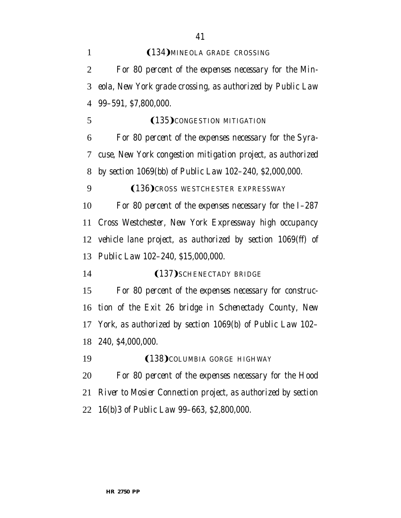| $\mathbf{1}$   | (134) MINEOLA GRADE CROSSING                                 |
|----------------|--------------------------------------------------------------|
| $\overline{2}$ | For 80 percent of the expenses necessary for the Min-        |
| 3              | eola, New York grade crossing, as authorized by Public Law   |
| $\overline{4}$ | 99-591, \$7,800,000.                                         |
| 5              | (135) CONGESTION MITIGATION                                  |
| 6              | For 80 percent of the expenses necessary for the Syra-       |
| 7              | cuse, New York congestion mitigation project, as authorized  |
| 8              | by section 1069(bb) of Public Law 102–240, \$2,000,000.      |
| 9              | (136) CROSS WESTCHESTER EXPRESSWAY                           |
| 10             | For 80 percent of the expenses necessary for the I-287       |
| 11             | Cross Westchester, New York Expressway high occupancy        |
| 12             | vehicle lane project, as authorized by section 1069(ff) of   |
| 13             | Public Law 102-240, \$15,000,000.                            |
| 14             | (137) SCHENECTADY BRIDGE                                     |
| 15             | For 80 percent of the expenses necessary for construc-       |
| 16             | tion of the Exit 26 bridge in Schenectady County, New        |
| 17             | York, as authorized by section 1069(b) of Public Law 102-    |
|                | 18 240, \$4,000,000.                                         |
| 19             | (138) COLUMBIA GORGE HIGHWAY                                 |
| 20             | For 80 percent of the expenses necessary for the Hood        |
| 21             | River to Mosier Connection project, as authorized by section |
|                | 22 16(b) 3 of Public Law 99–663, \$2,800,000.                |
|                |                                                              |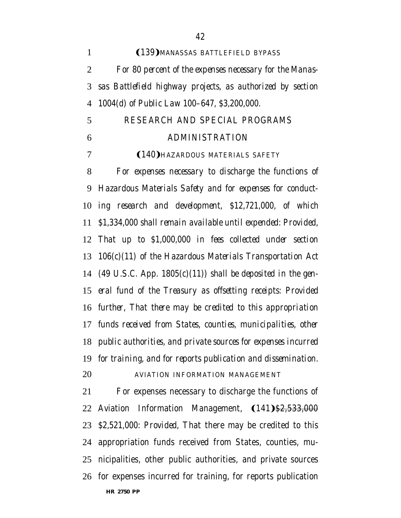| $\mathbf{1}$   | (139) MANASSAS BATTLEFIELD BYPASS                                  |
|----------------|--------------------------------------------------------------------|
| $\overline{2}$ | For 80 percent of the expenses necessary for the Manas-            |
| 3              | sas Battlefield highway projects, as authorized by section         |
| $\overline{4}$ | 1004(d) of Public Law 100–647, \$3,200,000.                        |
| 5              | RESEARCH AND SPECIAL PROGRAMS                                      |
| 6              | <b>ADMINISTRATION</b>                                              |
| 7              | (140) HAZARDOUS MATERIALS SAFETY                                   |
| 8              | For expenses necessary to discharge the functions of               |
| 9              | Hazardous Materials Safety and for expenses for conduct-           |
| 10             | ing research and development, \$12,721,000, of which               |
| 11             | \$1,334,000 shall remain available until expended: Provided,       |
|                | 12 That up to \$1,000,000 in fees collected under section          |
| 13             | $106(c)(11)$ of the Hazardous Materials Transportation Act         |
|                | 14 (49 U.S.C. App. 1805 $(c)(11)$ ) shall be deposited in the gen- |
|                | 15 eral fund of the Treasury as offsetting receipts: Provided      |
|                | 16 further, That there may be credited to this appropriation       |
|                | 17 funds received from States, counties, municipalities, other     |
|                | 18 public authorities, and private sources for expenses incurred   |
|                | 19 for training, and for reports publication and dissemination.    |
| 20             | AVIATION INFORMATION MANAGEMENT                                    |
| 21             | For expenses necessary to discharge the functions of               |
|                | 22 Aviation Information Management, (141)\$2,533,000               |
|                | 23 \$2,521,000. Provided, That there may be credited to this       |
|                | 24 appropriation funds received from States, counties, mu-         |
|                |                                                                    |

nicipalities, other public authorities, and private sources

**HR 2750 PP** for expenses incurred for training, for reports publication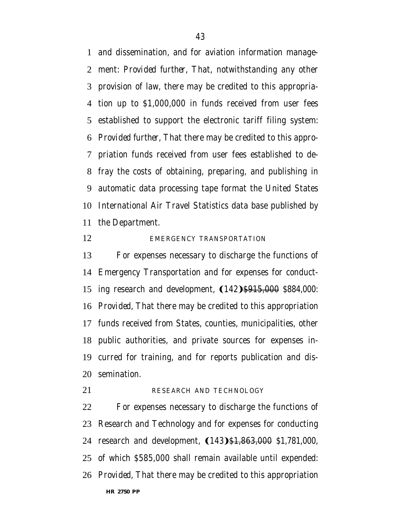and dissemination, and for aviation information manage- ment: *Provided further,* That, notwithstanding any other provision of law, there may be credited to this appropria- tion up to \$1,000,000 in funds received from user fees established to support the electronic tariff filing system: *Provided further,* That there may be credited to this appro- priation funds received from user fees established to de- fray the costs of obtaining, preparing, and publishing in automatic data processing tape format the United States International Air Travel Statistics data base published by the Department.

### 12 EMERGENCY TRANSPORTATION

 For expenses necessary to discharge the functions of Emergency Transportation and for expenses for conduct-15 ing research and development,  $(142)$ \$915,000 *\$884,000*: *Provided,* That there may be credited to this appropriation funds received from States, counties, municipalities, other public authorities, and private sources for expenses in- curred for training, and for reports publication and dis-semination.

#### 21 RESEARCH AND TECHNOLOGY

**HR 2750 PP** For expenses necessary to discharge the functions of Research and Technology and for expenses for conducting 24 research and development, (143) \$1,863,000 *\$1,781,000*, of which \$585,000 shall remain available until expended: *Provided,* That there may be credited to this appropriation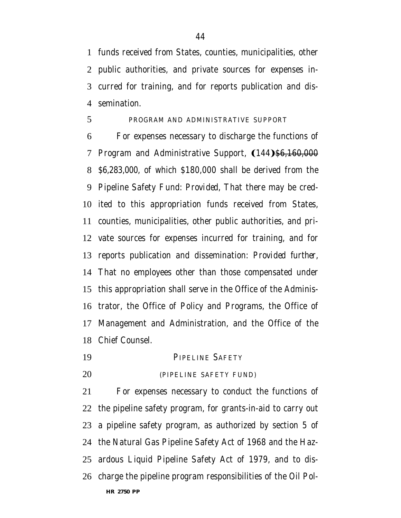funds received from States, counties, municipalities, other public authorities, and private sources for expenses in- curred for training, and for reports publication and dis-semination.

#### PROGRAM AND ADMINISTRATIVE SUPPORT

 For expenses necessary to discharge the functions of 7 Program and Administrative Support, (144)<del>\$6,160,000</del> *\$6,283,000*, of which \$180,000 shall be derived from the Pipeline Safety Fund: *Provided,* That there may be cred- ited to this appropriation funds received from States, counties, municipalities, other public authorities, and pri- vate sources for expenses incurred for training, and for reports publication and dissemination: *Provided further,* That no employees other than those compensated under this appropriation shall serve in the Office of the Adminis- trator, the Office of Policy and Programs, the Office of Management and Administration, and the Office of the Chief Counsel.

- PIPELINE SAFETY
- 

# (PIPELINE SAFETY FUND)

**HR 2750 PP** For expenses necessary to conduct the functions of the pipeline safety program, for grants-in-aid to carry out a pipeline safety program, as authorized by section 5 of the Natural Gas Pipeline Safety Act of 1968 and the Haz- ardous Liquid Pipeline Safety Act of 1979, and to dis-charge the pipeline program responsibilities of the Oil Pol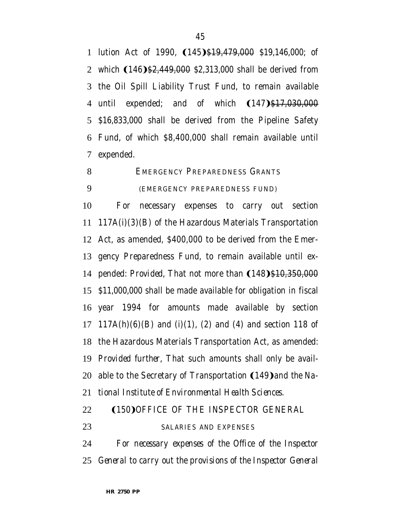1 lution Act of 1990,  $(145)$ \$19,479,000 *\$19,146,000*; of 2 which (146) \$2,449,000 *\$2,313,000* shall be derived from the Oil Spill Liability Trust Fund, to remain available 4 until expended; and of which  $(147)$ \$17,030,000 *\$16,833,000* shall be derived from the Pipeline Safety Fund, of which \$8,400,000 shall remain available until expended.

EMERGENCY PREPAREDNESS GRANTS

#### (EMERGENCY PREPAREDNESS FUND)

 For necessary expenses to carry out section 117A(i)(3)(B) of the Hazardous Materials Transportation Act, as amended, \$400,000 to be derived from the Emer- gency Preparedness Fund, to remain available until ex-14 pended: *Provided*, That not more than (148)\$10,350,000 *\$11,000,000* shall be made available for obligation in fiscal year 1994 for amounts made available by section 17 117A(h)(6)(B) and (i)(1), (2) and (4) and section 118 of the Hazardous Materials Transportation Act, as amended: *Provided further,* That such amounts shall only be avail-20 able to the Secretary of Transportation (149) and the Na-*tional Institute of Environmental Health Sciences*.

- 22 (150) OFFICE OF THE INSPECTOR GENERAL
- *SALARIES AND EXPENSES*

 *For necessary expenses of the Office of the Inspector General to carry out the provisions of the Inspector General*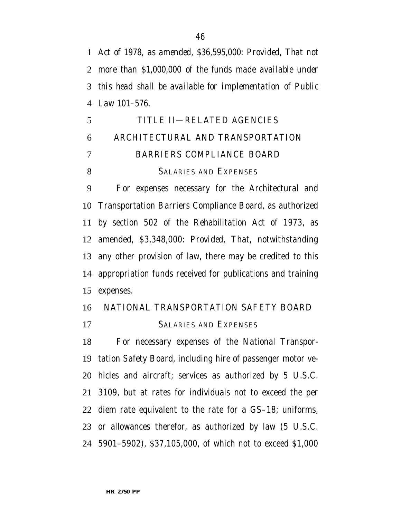*Act of 1978, as amended, \$36,595,000: Provided, That not more than \$1,000,000 of the funds made available under this head shall be available for implementation of Public Law 101–576.*

# TITLE II—RELATED AGENCIES ARCHITECTURAL AND TRANSPORTATION BARRIERS COMPLIANCE BOARD SALARIES AND EXPENSES

 For expenses necessary for the Architectural and Transportation Barriers Compliance Board, as authorized by section 502 of the Rehabilitation Act of 1973, as amended, \$3,348,000: *Provided,* That, notwithstanding any other provision of law, there may be credited to this appropriation funds received for publications and training expenses.

# NATIONAL TRANSPORTATION SAFETY BOARD

SALARIES AND EXPENSES

 For necessary expenses of the National Transpor- tation Safety Board, including hire of passenger motor ve- hicles and aircraft; services as authorized by 5 U.S.C. 3109, but at rates for individuals not to exceed the per diem rate equivalent to the rate for a GS–18; uniforms, or allowances therefor, as authorized by law (5 U.S.C. 5901–5902), \$37,105,000, of which not to exceed \$1,000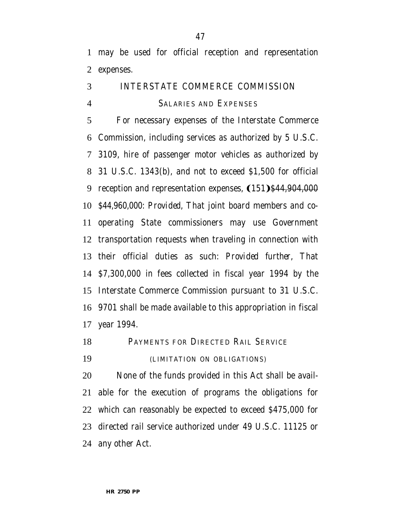may be used for official reception and representation expenses.

# INTERSTATE COMMERCE COMMISSION SALARIES AND EXPENSES

 For necessary expenses of the Interstate Commerce Commission, including services as authorized by 5 U.S.C. 3109, hire of passenger motor vehicles as authorized by 31 U.S.C. 1343(b), and not to exceed \$1,500 for official 9 reception and representation expenses,  $(151)$ \$44,904,000 *\$44,960,000*: *Provided,* That joint board members and co- operating State commissioners may use Government transportation requests when traveling in connection with their official duties as such: *Provided further,* That \$7,300,000 in fees collected in fiscal year 1994 by the Interstate Commerce Commission pursuant to 31 U.S.C. 9701 shall be made available to this appropriation in fiscal year 1994.

**PAYMENTS FOR DIRECTED RAIL SERVICE** 

(LIMITATION ON OBLIGATIONS)

 None of the funds provided in this Act shall be avail- able for the execution of programs the obligations for which can reasonably be expected to exceed \$475,000 for directed rail service authorized under 49 U.S.C. 11125 or any other Act.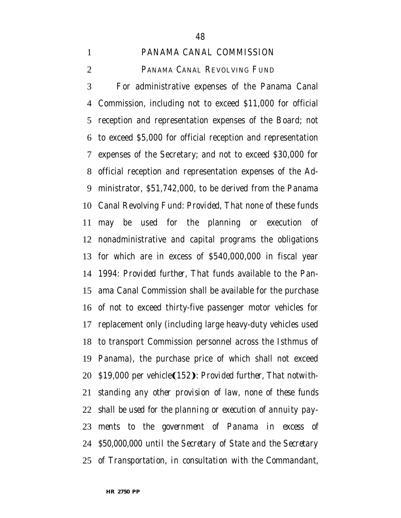### PANAMA CANAL COMMISSION

# PANAMA CANAL REVOLVING FUND

 For administrative expenses of the Panama Canal Commission, including not to exceed \$11,000 for official reception and representation expenses of the Board; not to exceed \$5,000 for official reception and representation expenses of the Secretary; and not to exceed \$30,000 for official reception and representation expenses of the Ad- ministrator, \$51,742,000, to be derived from the Panama Canal Revolving Fund: *Provided*, That none of these funds may be used for the planning or execution of nonadministrative and capital programs the obligations for which are in excess of \$540,000,000 in fiscal year 1994: *Provided further,* That funds available to the Pan- ama Canal Commission shall be available for the purchase of not to exceed thirty-five passenger motor vehicles for replacement only (including large heavy-duty vehicles used to transport Commission personnel across the Isthmus of Panama), the purchase price of which shall not exceed 20 \$19,000 per vehicle(152): *Provided further, That notwith- standing any other provision of law, none of these funds shall be used for the planning or execution of annuity pay- ments to the government of Panama in excess of \$50,000,000 until the Secretary of State and the Secretary of Transportation, in consultation with the Commandant,*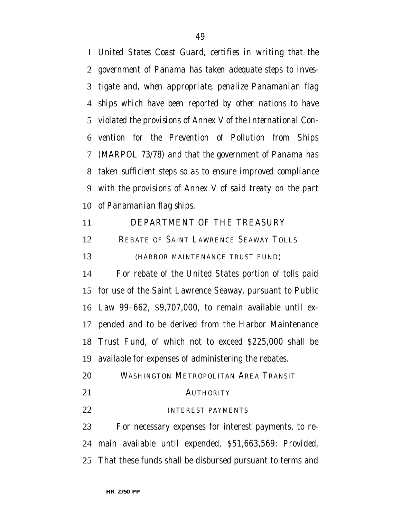*United States Coast Guard, certifies in writing that the government of Panama has taken adequate steps to inves- tigate and, when appropriate, penalize Panamanian flag ships which have been reported by other nations to have violated the provisions of Annex V of the International Con- vention for the Prevention of Pollution from Ships (MARPOL 73/78) and that the government of Panama has taken sufficient steps so as to ensure improved compliance with the provisions of Annex V of said treaty on the part of Panamanian flag ships*.

DEPARTMENT OF THE TREASURY

12 REBATE OF SAINT LAWRENCE SEAWAY TOLLS

(HARBOR MAINTENANCE TRUST FUND)

 For rebate of the United States portion of tolls paid for use of the Saint Lawrence Seaway, pursuant to Public Law 99–662, \$9,707,000, to remain available until ex- pended and to be derived from the Harbor Maintenance Trust Fund, of which not to exceed \$225,000 shall be available for expenses of administering the rebates.

- WASHINGTON METROPOLITAN AREA TRANSIT 21 AUTHORITY
- **INTEREST PAYMENTS**

 For necessary expenses for interest payments, to re- main available until expended, \$51,663,569: *Provided,* That these funds shall be disbursed pursuant to terms and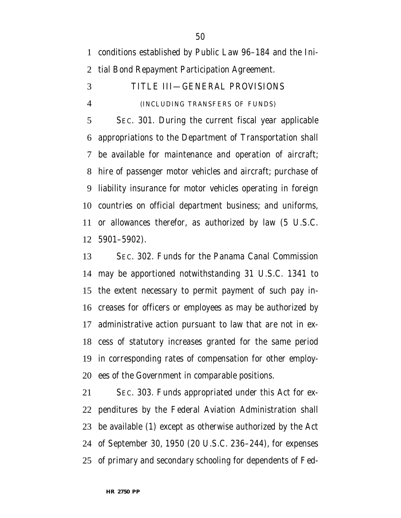conditions established by Public Law 96–184 and the Ini-

tial Bond Repayment Participation Agreement.

TITLE III—GENERAL PROVISIONS

# (INCLUDING TRANSFERS OF FUNDS)

 SEC. 301. During the current fiscal year applicable appropriations to the Department of Transportation shall be available for maintenance and operation of aircraft; hire of passenger motor vehicles and aircraft; purchase of liability insurance for motor vehicles operating in foreign countries on official department business; and uniforms, or allowances therefor, as authorized by law (5 U.S.C. 5901–5902).

 SEC. 302. Funds for the Panama Canal Commission may be apportioned notwithstanding 31 U.S.C. 1341 to the extent necessary to permit payment of such pay in- creases for officers or employees as may be authorized by administrative action pursuant to law that are not in ex- cess of statutory increases granted for the same period in corresponding rates of compensation for other employ-ees of the Government in comparable positions.

 SEC. 303. Funds appropriated under this Act for ex- penditures by the Federal Aviation Administration shall be available (1) except as otherwise authorized by the Act of September 30, 1950 (20 U.S.C. 236–244), for expenses of primary and secondary schooling for dependents of Fed-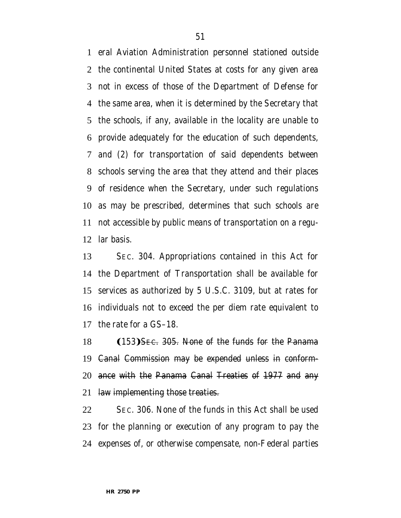eral Aviation Administration personnel stationed outside the continental United States at costs for any given area not in excess of those of the Department of Defense for the same area, when it is determined by the Secretary that the schools, if any, available in the locality are unable to provide adequately for the education of such dependents, and (2) for transportation of said dependents between schools serving the area that they attend and their places of residence when the Secretary, under such regulations as may be prescribed, determines that such schools are not accessible by public means of transportation on a regu-lar basis.

 SEC. 304. Appropriations contained in this Act for the Department of Transportation shall be available for services as authorized by 5 U.S.C. 3109, but at rates for individuals not to exceed the per diem rate equivalent to the rate for a GS–18.

18 (153) SEC. 305. None of the funds for the Panama Canal Commission may be expended unless in conform- ance with the Panama Canal Treaties of 1977 and any 21 law implementing those treaties.

 SEC. 306. None of the funds in this Act shall be used for the planning or execution of any program to pay the expenses of, or otherwise compensate, non-Federal parties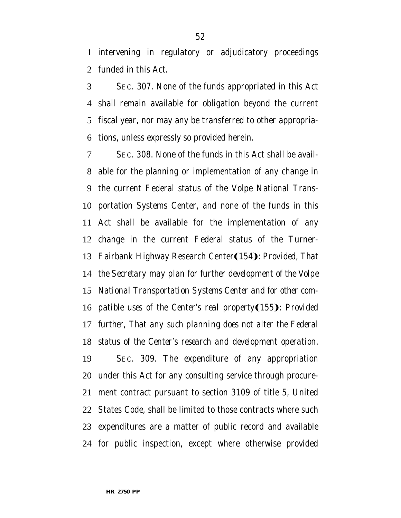intervening in regulatory or adjudicatory proceedings funded in this Act.

 SEC. 307. None of the funds appropriated in this Act shall remain available for obligation beyond the current fiscal year, nor may any be transferred to other appropria-tions, unless expressly so provided herein.

 SEC. 308. None of the funds in this Act shall be avail- able for the planning or implementation of any change in the current Federal status of the Volpe National Trans- portation Systems Center, and none of the funds in this Act shall be available for the implementation of any change in the current Federal status of the Turner-13 Fairbank Highway Research Center(154): Provided, That *the Secretary may plan for further development of the Volpe National Transportation Systems Center and for other com-patible uses of the Center's real property*(155): Provided *further, That any such planning does not alter the Federal status of the Center's research and development operation.* SEC. 309. The expenditure of any appropriation under this Act for any consulting service through procure- ment contract pursuant to section 3109 of title 5, United States Code, shall be limited to those contracts where such expenditures are a matter of public record and available for public inspection, except where otherwise provided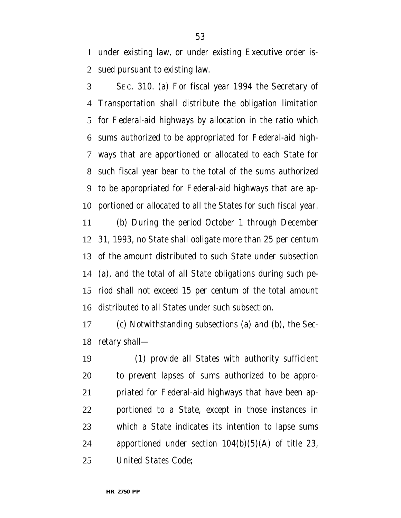under existing law, or under existing Executive order is-sued pursuant to existing law.

 SEC. 310. (a) For fiscal year 1994 the Secretary of Transportation shall distribute the obligation limitation for Federal-aid highways by allocation in the ratio which sums authorized to be appropriated for Federal-aid high- ways that are apportioned or allocated to each State for such fiscal year bear to the total of the sums authorized to be appropriated for Federal-aid highways that are ap-portioned or allocated to all the States for such fiscal year.

 (b) During the period October 1 through December 31, 1993, no State shall obligate more than 25 per centum of the amount distributed to such State under subsection (a), and the total of all State obligations during such pe- riod shall not exceed 15 per centum of the total amount distributed to all States under such subsection.

 (c) Notwithstanding subsections (a) and (b), the Sec-retary shall—

 (1) provide all States with authority sufficient to prevent lapses of sums authorized to be appro- priated for Federal-aid highways that have been ap- portioned to a State, except in those instances in which a State indicates its intention to lapse sums apportioned under section 104(b)(5)(A) of title 23, United States Code;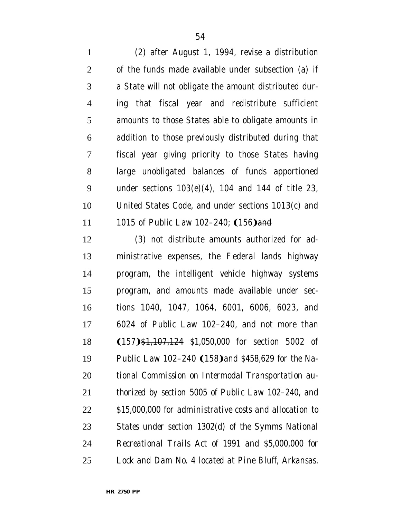(2) after August 1, 1994, revise a distribution of the funds made available under subsection (a) if a State will not obligate the amount distributed dur- ing that fiscal year and redistribute sufficient amounts to those States able to obligate amounts in addition to those previously distributed during that fiscal year giving priority to those States having large unobligated balances of funds apportioned under sections 103(e)(4), 104 and 144 of title 23, United States Code, and under sections 1013(c) and 11 1015 of Public Law 102–240; (156) and

 (3) not distribute amounts authorized for ad- ministrative expenses, the Federal lands highway program, the intelligent vehicle highway systems program, and amounts made available under sec- tions 1040, 1047, 1064, 6001, 6006, 6023, and 6024 of Public Law 102–240, and not more than 18 (157) \$1,107,124 *\$1,050,000* for section 5002 of 19 Public Law 102–240 (158) and \$458,629 for the Na- *tional Commission on Intermodal Transportation au- thorized by section 5005 of Public Law 102–240, and \$15,000,000 for administrative costs and allocation to States under section 1302(d) of the Symms National Recreational Trails Act of 1991 and \$5,000,000 for Lock and Dam No. 4 located at Pine Bluff, Arkansas.*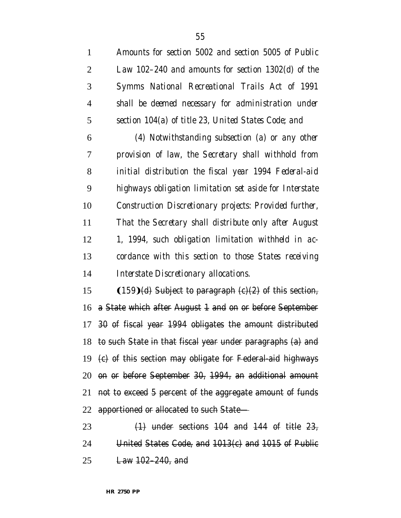| $\mathbf{1}$   | Amounts for section 5002 and section 5005 of Public       |
|----------------|-----------------------------------------------------------|
| $\overline{2}$ | Law 102-240 and amounts for section 1302(d) of the        |
| 3              | Symms National Recreational Trails Act of 1991            |
| $\overline{4}$ | shall be deemed necessary for administration under        |
| 5              | section 104(a) of title 23, United States Code; and       |
| 6              | $(4)$ Notwithstanding subsection $(a)$ or any other       |
| 7              | provision of law, the Secretary shall withhold from       |
| 8              | initial distribution the fiscal year 1994 Federal-aid     |
| 9              | highways obligation limitation set aside for Interstate   |
| 10             | Construction Discretionary projects: Provided further,    |
| 11             | That the Secretary shall distribute only after August     |
| 12             | 1, 1994, such obligation limitation withheld in ac-       |
| 13             | cordance with this section to those States receiving      |
| 14             | Interstate Discretionary allocations.                     |
| 15             | $(159)(d)$ Subject to paragraph $(c)(2)$ of this section, |

 a State which after August 1 and on or before September 30 of fiscal year 1994 obligates the amount distributed to such State in that fiscal year under paragraphs (a) and (c) of this section may obligate for Federal-aid highways on or before September 30, 1994, an additional amount not to exceed 5 percent of the aggregate amount of funds apportioned or allocated to such State—

23  $(1)$  under sections 104 and 144 of title  $23$ , United States Code, and 1013(c) and 1015 of Public Law 102–240, and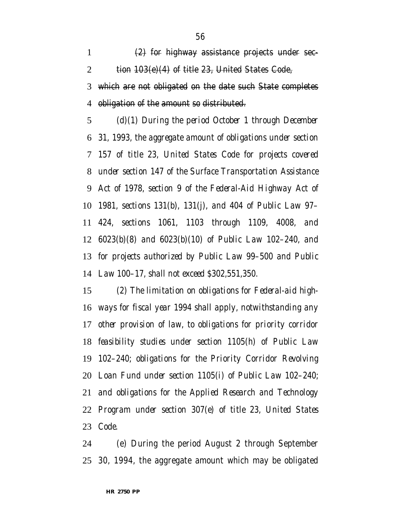$\left(2\right)$  for highway assistance projects under sec-2 tion  $103(e)(4)$  of title 23, United States Code, which are not obligated on the date such State completes obligation of the amount so distributed.

 *(d)(1) During the period October 1 through December 31, 1993, the aggregate amount of obligations under section 157 of title 23, United States Code for projects covered under section 147 of the Surface Transportation Assistance Act of 1978, section 9 of the Federal-Aid Highway Act of 1981, sections 131(b), 131(j), and 404 of Public Law 97– 424, sections 1061, 1103 through 1109, 4008, and 6023(b)(8) and 6023(b)(10) of Public Law 102–240, and for projects authorized by Public Law 99–500 and Public Law 100–17, shall not exceed \$302,551,350.*

 *(2) The limitation on obligations for Federal-aid high- ways for fiscal year 1994 shall apply, notwithstanding any other provision of law, to obligations for priority corridor feasibility studies under section 1105(h) of Public Law 102–240; obligations for the Priority Corridor Revolving Loan Fund under section 1105(i) of Public Law 102–240; and obligations for the Applied Research and Technology Program under section 307(e) of title 23, United States Code.*

 (e) During the period August 2 through September 30, 1994, the aggregate amount which may be obligated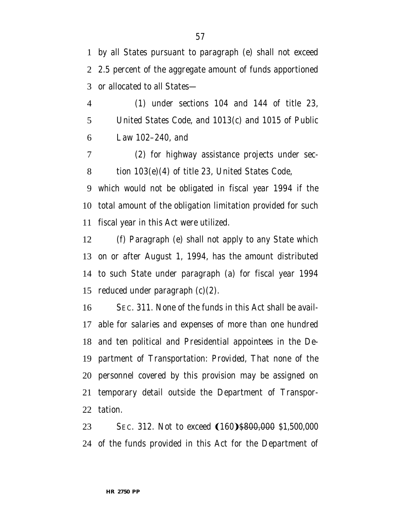by all States pursuant to paragraph (e) shall not exceed 2.5 percent of the aggregate amount of funds apportioned or allocated to all States—

 (1) under sections 104 and 144 of title 23, United States Code, and 1013(c) and 1015 of Public Law 102–240, and

 (2) for highway assistance projects under sec-tion 103(e)(4) of title 23, United States Code,

 which would not be obligated in fiscal year 1994 if the total amount of the obligation limitation provided for such fiscal year in this Act were utilized.

 (f) Paragraph (e) shall not apply to any State which on or after August 1, 1994, has the amount distributed to such State under paragraph (a) for fiscal year 1994 reduced under paragraph (c)(2).

 SEC. 311. None of the funds in this Act shall be avail- able for salaries and expenses of more than one hundred and ten political and Presidential appointees in the De- partment of Transportation: *Provided,* That none of the personnel covered by this provision may be assigned on temporary detail outside the Department of Transpor-tation.

23 SEC. 312. Not to exceed  $(160)$ \$800,000 \$1,500,000 of the funds provided in this Act for the Department of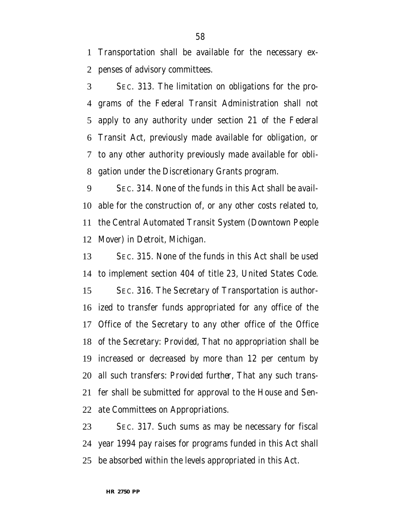Transportation shall be available for the necessary ex-penses of advisory committees.

 SEC. 313. The limitation on obligations for the pro- grams of the Federal Transit Administration shall not apply to any authority under section 21 of the Federal Transit Act, previously made available for obligation, or to any other authority previously made available for obli-gation under the Discretionary Grants program.

 SEC. 314. None of the funds in this Act shall be avail- able for the construction of, or any other costs related to, the Central Automated Transit System (Downtown People Mover) in Detroit, Michigan.

 SEC. 315. None of the funds in this Act shall be used to implement section 404 of title 23, United States Code. SEC. 316. The Secretary of Transportation is author- ized to transfer funds appropriated for any office of the Office of the Secretary to any other office of the Office of the Secretary: *Provided,* That no appropriation shall be increased or decreased by more than 12 per centum by all such transfers: *Provided further,* That any such trans- fer shall be submitted for approval to the House and Sen-ate Committees on Appropriations.

 SEC. 317. Such sums as may be necessary for fiscal year 1994 pay raises for programs funded in this Act shall be absorbed within the levels appropriated in this Act.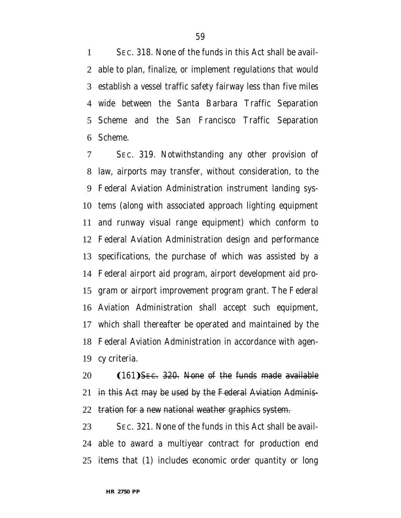SEC. 318. None of the funds in this Act shall be avail- able to plan, finalize, or implement regulations that would establish a vessel traffic safety fairway less than five miles wide between the Santa Barbara Traffic Separation Scheme and the San Francisco Traffic Separation Scheme.

 SEC. 319. Notwithstanding any other provision of law, airports may transfer, without consideration, to the Federal Aviation Administration instrument landing sys- tems (along with associated approach lighting equipment and runway visual range equipment) which conform to Federal Aviation Administration design and performance specifications, the purchase of which was assisted by a Federal airport aid program, airport development aid pro- gram or airport improvement program grant. The Federal Aviation Administration shall accept such equipment, which shall thereafter be operated and maintained by the Federal Aviation Administration in accordance with agen-cy criteria.

 (161) SEC. 320. None of the funds made available in this Act may be used by the Federal Aviation Adminis-22 tration for a new national weather graphics system.

 SEC. 321. None of the funds in this Act shall be avail- able to award a multiyear contract for production end items that (1) includes economic order quantity or long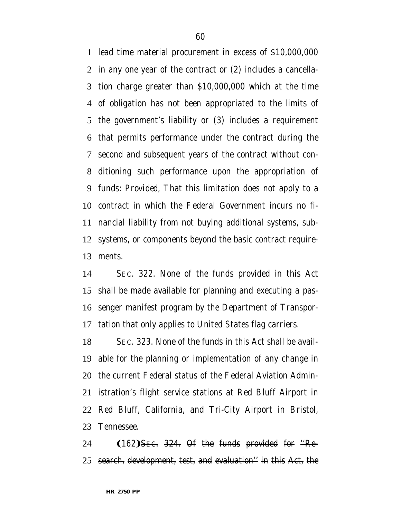lead time material procurement in excess of \$10,000,000 in any one year of the contract or (2) includes a cancella- tion charge greater than \$10,000,000 which at the time of obligation has not been appropriated to the limits of the government's liability or (3) includes a requirement that permits performance under the contract during the second and subsequent years of the contract without con- ditioning such performance upon the appropriation of funds: *Provided,* That this limitation does not apply to a contract in which the Federal Government incurs no fi- nancial liability from not buying additional systems, sub- systems, or components beyond the basic contract require-ments.

 SEC. 322. None of the funds provided in this Act shall be made available for planning and executing a pas- senger manifest program by the Department of Transpor-tation that only applies to United States flag carriers.

 SEC. 323. None of the funds in this Act shall be avail- able for the planning or implementation of any change in the current Federal status of the Federal Aviation Admin- istration's flight service stations at Red Bluff Airport in Red Bluff, California, and Tri-City Airport in Bristol, Tennessee.

24  $(162)$ SEC. 324. Of the funds provided for  $\text{``Re-}$ search, development, test, and evaluation'' in this Act, the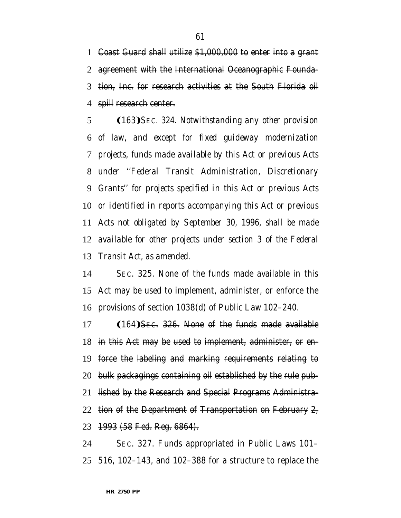Coast Guard shall utilize \$1,000,000 to enter into a grant agreement with the International Oceanographic Founda- tion, Inc. for research activities at the South Florida oil 4 spill research center.

5 (163) SEC. 324. Notwithstanding any other provision *of law, and except for fixed guideway modernization projects, funds made available by this Act or previous Acts under ''Federal Transit Administration, Discretionary Grants'' for projects specified in this Act or previous Acts or identified in reports accompanying this Act or previous Acts not obligated by September 30, 1996, shall be made available for other projects under section 3 of the Federal Transit Act, as amended.*

 SEC. 325. None of the funds made available in this Act may be used to implement, administer, or enforce the provisions of section 1038(d) of Public Law 102–240.

 (164) Sec. 326. None of the funds made available in this Act may be used to implement, administer, or en- force the labeling and marking requirements relating to bulk packagings containing oil established by the rule pub- lished by the Research and Special Programs Administra-22 tion of the Department of Transportation on February 2, 1993 (58 Fed. Reg. 6864).

 SEC. 327. Funds appropriated in Public Laws 101– 516, 102–143, and 102–388 for a structure to replace the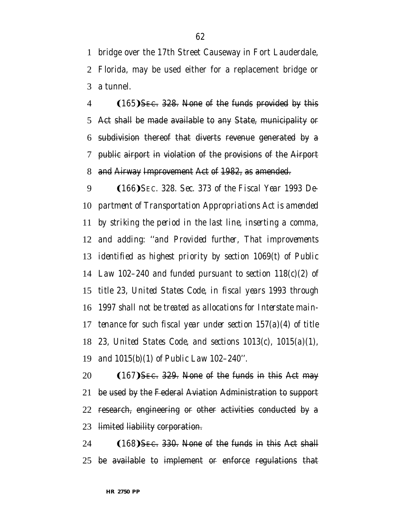bridge over the 17th Street Causeway in Fort Lauderdale, Florida, may be used either for a replacement bridge or a tunnel.

 $(165)$ SEC. 328. None of the funds provided by this Act shall be made available to any State, municipality or subdivision thereof that diverts revenue generated by a public airport in violation of the provisions of the Airport and Airway Improvement Act of 1982, as amended.

9 (166) *SEC.* 328. Sec. 373 of the Fiscal Year 1993 De- *partment of Transportation Appropriations Act is amended by striking the period in the last line, inserting a comma, and adding: ''and Provided further, That improvements identified as highest priority by section 1069(t) of Public Law 102–240 and funded pursuant to section 118(c)(2) of title 23, United States Code, in fiscal years 1993 through 1997 shall not be treated as allocations for Interstate main- tenance for such fiscal year under section 157(a)(4) of title 23, United States Code, and sections 1013(c), 1015(a)(1), and 1015(b)(1) of Public Law 102–240''.*

 $(167)$ SEC. 329. None of the funds in this Act may be used by the Federal Aviation Administration to support research, engineering or other activities conducted by a limited liability corporation.

 (168) Sec. 330. None of the funds in this Act shall be available to implement or enforce regulations that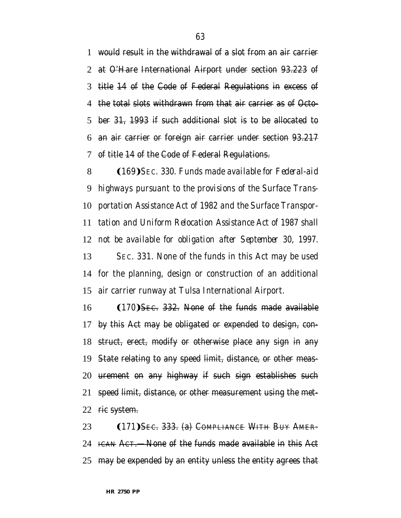would result in the withdrawal of a slot from an air carrier at O'Hare International Airport under section 93.223 of title 14 of the Code of Federal Regulations in excess of the total slots withdrawn from that air carrier as of Octo- ber 31, 1993 if such additional slot is to be allocated to an air carrier or foreign air carrier under section 93.217 of title 14 of the Code of Federal Regulations.

8 (169) SEC. 330. Funds made available for Federal-aid *highways pursuant to the provisions of the Surface Trans- portation Assistance Act of 1982 and the Surface Transpor- tation and Uniform Relocation Assistance Act of 1987 shall not be available for obligation after September 30, 1997.* SEC. 331. None of the funds in this Act may be used

 for the planning, design or construction of an additional air carrier runway at Tulsa International Airport.

  $(170)$  Sec. 332. None of the funds made available by this Act may be obligated or expended to design, con- struct, erect, modify or otherwise place any sign in any State relating to any speed limit, distance, or other meas- urement on any highway if such sign establishes such speed limit, distance, or other measurement using the met-22 rie system.

23 (171) SEC. 333. (a) COMPLIANCE WITH BUY AMER-24 ICAN ACT.—None of the funds made available in this Act may be expended by an entity unless the entity agrees that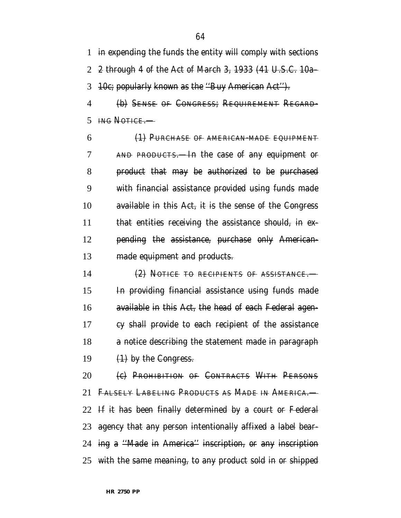in expending the funds the entity will comply with sections 2 through 4 of the Act of March 3, 1933 (41 U.S.C. 10a– 10c; popularly known as the ''Buy American Act'').

 (b) SENSE OF CONGRESS; REQUIREMENT REGARD-ING NOTICE.—

 (1) PURCHASE OF AMERICAN-MADE EQUIPMENT AND PRODUCTS.—In the case of any equipment or product that may be authorized to be purchased with financial assistance provided using funds made available in this Act, it is the sense of the Congress 11 that entities receiving the assistance should, in ex-**pending the assistance, purchase only American-**13 made equipment and products.

 (2) NOTICE TO RECIPIENTS OF ASSISTANCE.— In providing financial assistance using funds made available in this Act, the head of each Federal agen- cy shall provide to each recipient of the assistance 18 a notice describing the statement made in paragraph  $(1)$  by the Congress.

20 (c) PROHIBITION OF CONTRACTS WITH PERSONS FALSELY LABELING PRODUCTS AS MADE IN AMERICA.— If it has been finally determined by a court or Federal agency that any person intentionally affixed a label bear- ing a ''Made in America'' inscription, or any inscription with the same meaning, to any product sold in or shipped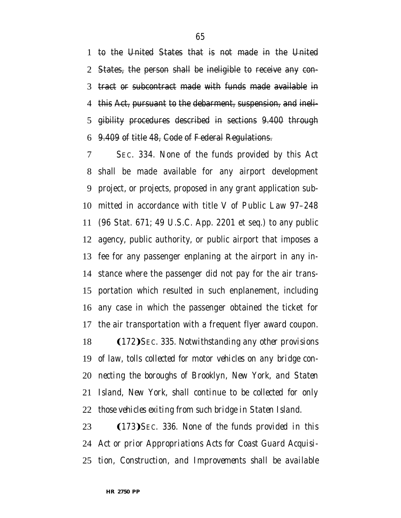to the United States that is not made in the United States, the person shall be ineligible to receive any con- tract or subcontract made with funds made available in this Act, pursuant to the debarment, suspension, and ineli- gibility procedures described in sections 9.400 through 9.409 of title 48, Code of Federal Regulations.

 SEC. 334. None of the funds provided by this Act shall be made available for any airport development project, or projects, proposed in any grant application sub- mitted in accordance with title V of Public Law 97–248 (96 Stat. 671; 49 U.S.C. App. 2201 et seq.) to any public agency, public authority, or public airport that imposes a fee for any passenger enplaning at the airport in any in- stance where the passenger did not pay for the air trans- portation which resulted in such enplanement, including any case in which the passenger obtained the ticket for the air transportation with a frequent flyer award coupon.

**(172)** *SEC.* 335. Notwithstanding any other provisions *of law, tolls collected for motor vehicles on any bridge con- necting the boroughs of Brooklyn, New York, and Staten Island, New York, shall continue to be collected for only those vehicles exiting from such bridge in Staten Island.*

**(173)** SEC. 336. None of the funds provided in this *Act or prior Appropriations Acts for Coast Guard Acquisi-tion, Construction, and Improvements shall be available*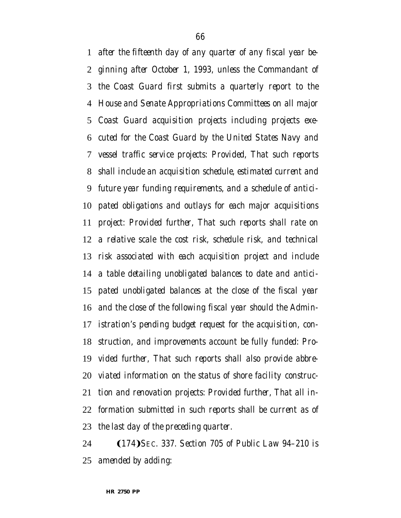*after the fifteenth day of any quarter of any fiscal year be- ginning after October 1, 1993, unless the Commandant of the Coast Guard first submits a quarterly report to the House and Senate Appropriations Committees on all major Coast Guard acquisition projects including projects exe- cuted for the Coast Guard by the United States Navy and vessel traffic service projects: Provided, That such reports shall include an acquisition schedule, estimated current and future year funding requirements, and a schedule of antici- pated obligations and outlays for each major acquisitions project: Provided further, That such reports shall rate on a relative scale the cost risk, schedule risk, and technical risk associated with each acquisition project and include a table detailing unobligated balances to date and antici- pated unobligated balances at the close of the fiscal year and the close of the following fiscal year should the Admin- istration's pending budget request for the acquisition, con- struction, and improvements account be fully funded: Pro- vided further, That such reports shall also provide abbre- viated information on the status of shore facility construc- tion and renovation projects: Provided further, That all in- formation submitted in such reports shall be current as of the last day of the preceding quarter.*

**(174)** *SEC.* 337. Section 705 of Public Law 94-210 is *amended by adding:*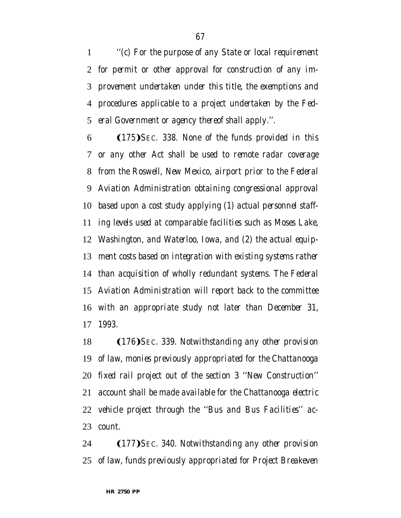*''(c) For the purpose of any State or local requirement for permit or other approval for construction of any im- provement undertaken under this title, the exemptions and procedures applicable to a project undertaken by the Fed-eral Government or agency thereof shall apply.''.*

**(175)** SEC. 338. None of the funds provided in this *or any other Act shall be used to remote radar coverage from the Roswell, New Mexico, airport prior to the Federal Aviation Administration obtaining congressional approval based upon a cost study applying (1) actual personnel staff- ing levels used at comparable facilities such as Moses Lake, Washington, and Waterloo, Iowa, and (2) the actual equip- ment costs based on integration with existing systems rather than acquisition of wholly redundant systems. The Federal Aviation Administration will report back to the committee with an appropriate study not later than December 31, 1993.*

18 (176) SEC. 339. Notwithstanding any other provision *of law, monies previously appropriated for the Chattanooga fixed rail project out of the section 3 ''New Construction'' account shall be made available for the Chattanooga electric vehicle project through the ''Bus and Bus Facilities'' ac-count.*

**(177)** SEC. 340. Notwithstanding any other provision *of law, funds previously appropriated for Project Breakeven*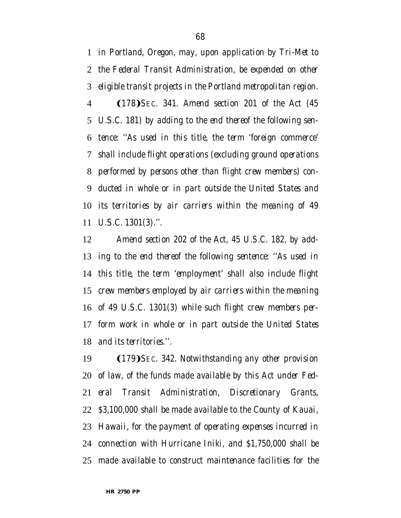*in Portland, Oregon, may, upon application by Tri-Met to the Federal Transit Administration, be expended on other eligible transit projects in the Portland metropolitan region.* Ω178æ*SEC. 341. Amend section 201 of the Act (45 U.S.C. 181) by adding to the end thereof the following sen- tence: ''As used in this title, the term 'foreign commerce' shall include flight operations (excluding ground operations performed by persons other than flight crew members) con- ducted in whole or in part outside the United States and its territories by air carriers within the meaning of 49 U.S.C. 1301(3).''.*

 *Amend section 202 of the Act, 45 U.S.C. 182, by add- ing to the end thereof the following sentence: ''As used in this title, the term 'employment' shall also include flight crew members employed by air carriers within the meaning of 49 U.S.C. 1301(3) while such flight crew members per- form work in whole or in part outside the United States and its territories.''.*

19 (179) SEC. 342. Notwithstanding any other provision *of law, of the funds made available by this Act under Fed- eral Transit Administration, Discretionary Grants, \$3,100,000 shall be made available to the County of Kauai, Hawaii, for the payment of operating expenses incurred in connection with Hurricane Iniki, and \$1,750,000 shall be made available to construct maintenance facilities for the*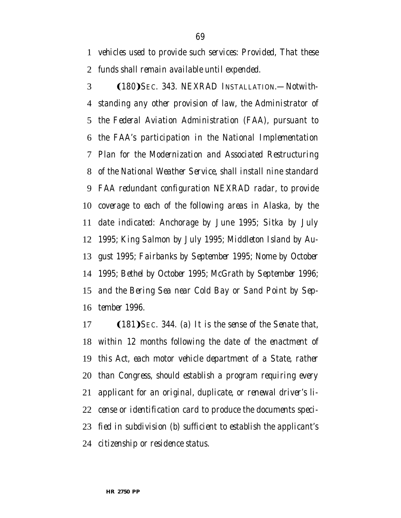*vehicles used to provide such services: Provided, That these funds shall remain available until expended.*

3 (180) *Sec. 343. NEXRAD Installation.—Notwith- standing any other provision of law, the Administrator of the Federal Aviation Administration (FAA), pursuant to the FAA's participation in the National Implementation Plan for the Modernization and Associated Restructuring of the National Weather Service, shall install nine standard FAA redundant configuration NEXRAD radar, to provide coverage to each of the following areas in Alaska, by the date indicated: Anchorage by June 1995; Sitka by July 1995; King Salmon by July 1995; Middleton Island by Au- gust 1995; Fairbanks by September 1995; Nome by October 1995; Bethel by October 1995; McGrath by September 1996; and the Bering Sea near Cold Bay or Sand Point by Sep-tember 1996.*

17 (181) *SEC.* 344. (a) It is the sense of the Senate that, *within 12 months following the date of the enactment of this Act, each motor vehicle department of a State, rather than Congress, should establish a program requiring every applicant for an original, duplicate, or renewal driver's li- cense or identification card to produce the documents speci- fied in subdivision (b) sufficient to establish the applicant's citizenship or residence status.*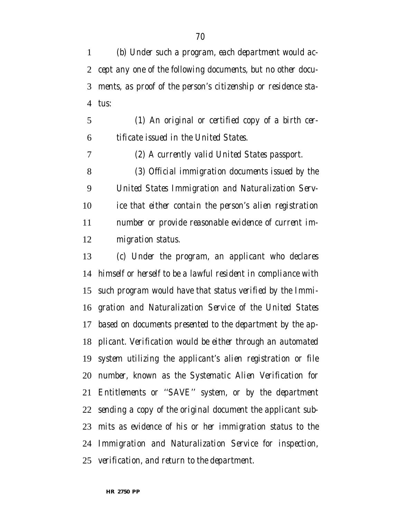*(b) Under such a program, each department would ac- cept any one of the following documents, but no other docu- ments, as proof of the person's citizenship or residence sta-tus:*

 *(1) An original or certified copy of a birth cer-tificate issued in the United States.*

 *(2) A currently valid United States passport. (3) Official immigration documents issued by the United States Immigration and Naturalization Serv- ice that either contain the person's alien registration number or provide reasonable evidence of current im-*

*migration status.*

 *(c) Under the program, an applicant who declares himself or herself to be a lawful resident in compliance with such program would have that status verified by the Immi- gration and Naturalization Service of the United States based on documents presented to the department by the ap- plicant. Verification would be either through an automated system utilizing the applicant's alien registration or file number, known as the Systematic Alien Verification for Entitlements or ''SAVE'' system, or by the department sending a copy of the original document the applicant sub- mits as evidence of his or her immigration status to the Immigration and Naturalization Service for inspection, verification, and return to the department.*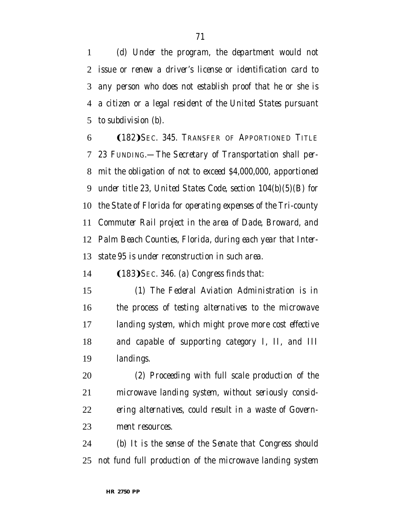*(d) Under the program, the department would not issue or renew a driver's license or identification card to any person who does not establish proof that he or she is a citizen or a legal resident of the United States pursuant to subdivision (b).*

6 (182) Sec. 345. Transfer of Apportioned Title *23 FUNDING.—The Secretary of Transportation shall per- mit the obligation of not to exceed \$4,000,000, apportioned under title 23, United States Code, section 104(b)(5)(B) for the State of Florida for operating expenses of the Tri-county Commuter Rail project in the area of Dade, Broward, and Palm Beach Counties, Florida, during each year that Inter-state 95 is under reconstruction in such area.*

14 (183) *SEC.* 346. (a) Congress finds that:

 *(1) The Federal Aviation Administration is in the process of testing alternatives to the microwave landing system, which might prove more cost effective and capable of supporting category I, II, and III landings.*

 *(2) Proceeding with full scale production of the microwave landing system, without seriously consid- ering alternatives, could result in a waste of Govern-ment resources.*

 *(b) It is the sense of the Senate that Congress should not fund full production of the microwave landing system*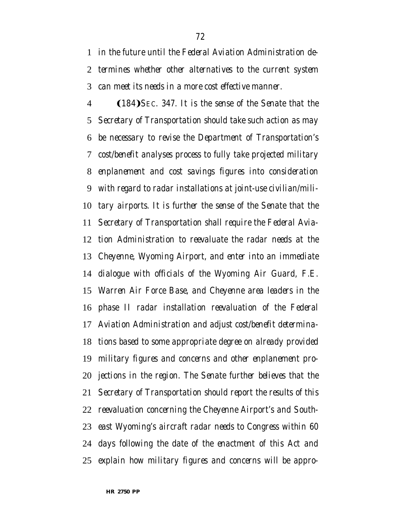*in the future until the Federal Aviation Administration de- termines whether other alternatives to the current system can meet its needs in a more cost effective manner.*

**(184)** *SEC.* 347. It is the sense of the Senate that the *Secretary of Transportation should take such action as may be necessary to revise the Department of Transportation's cost/benefit analyses process to fully take projected military enplanement and cost savings figures into consideration with regard to radar installations at joint-use civilian/mili- tary airports. It is further the sense of the Senate that the Secretary of Transportation shall require the Federal Avia- tion Administration to reevaluate the radar needs at the Cheyenne, Wyoming Airport, and enter into an immediate dialogue with officials of the Wyoming Air Guard, F.E. Warren Air Force Base, and Cheyenne area leaders in the phase II radar installation reevaluation of the Federal Aviation Administration and adjust cost/benefit determina- tions based to some appropriate degree on already provided military figures and concerns and other enplanement pro- jections in the region. The Senate further believes that the Secretary of Transportation should report the results of this reevaluation concerning the Cheyenne Airport's and South- east Wyoming's aircraft radar needs to Congress within 60 days following the date of the enactment of this Act and explain how military figures and concerns will be appro-*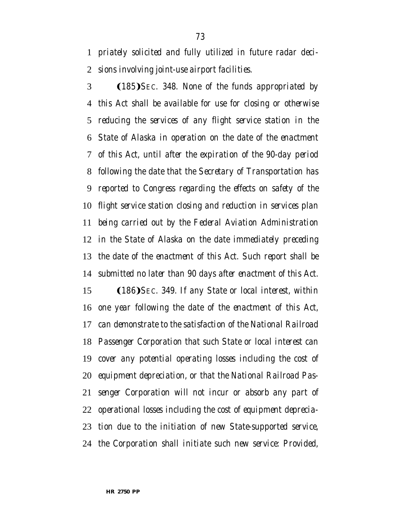*priately solicited and fully utilized in future radar deci-sions involving joint-use airport facilities.*

**(185)** SEC. 348. None of the funds appropriated by *this Act shall be available for use for closing or otherwise reducing the services of any flight service station in the State of Alaska in operation on the date of the enactment of this Act, until after the expiration of the 90-day period following the date that the Secretary of Transportation has reported to Congress regarding the effects on safety of the flight service station closing and reduction in services plan being carried out by the Federal Aviation Administration in the State of Alaska on the date immediately preceding the date of the enactment of this Act. Such report shall be submitted no later than 90 days after enactment of this Act.* 15 (186) SEC. 349. If any State or local interest, within *one year following the date of the enactment of this Act, can demonstrate to the satisfaction of the National Railroad Passenger Corporation that such State or local interest can cover any potential operating losses including the cost of equipment depreciation, or that the National Railroad Pas- senger Corporation will not incur or absorb any part of operational losses including the cost of equipment deprecia-tion due to the initiation of new State-supported service,*

*the Corporation shall initiate such new service: Provided,*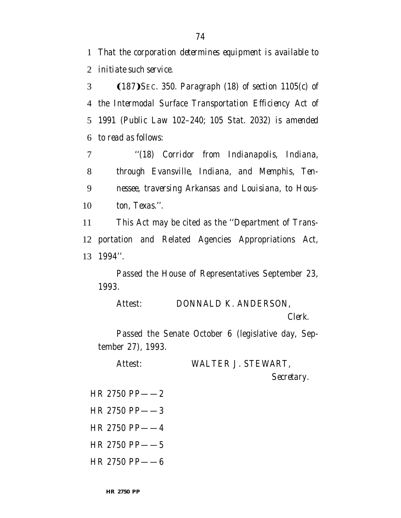1 *That the corporation determines equipment is available to* 2 *initiate such service.*

**(187)** *SEC.* 350. Paragraph (18) of section 1105(c) of *the Intermodal Surface Transportation Efficiency Act of 1991 (Public Law 102–240; 105 Stat. 2032) is amended to read as follows:*

 *''(18) Corridor from Indianapolis, Indiana, through Evansville, Indiana, and Memphis, Ten- nessee, traversing Arkansas and Louisiana, to Hous-ton, Texas.''.*

11 This Act may be cited as the ''Department of Trans-12 portation and Related Agencies Appropriations Act, 13 1994''.

Passed the House of Representatives September 23, 1993.

Attest: DONNALD K. ANDERSON, *Clerk.*

Passed the Senate October 6 (legislative day, September 27), 1993.

Attest: WALTER J. STEWART,

*Secretary.*

- HR 2750 PP——2
- HR 2750 PP——3
- HR 2750 PP——4
- HR 2750 PP——5
- HR 2750 PP——6